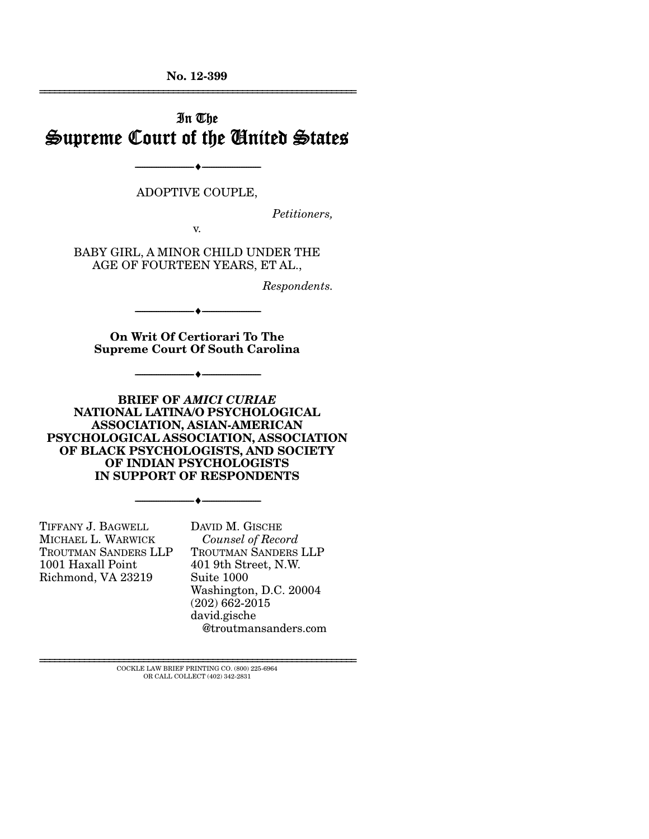**No. 12-399**  ================================================================

# In The Supreme Court of the United States

ADOPTIVE COUPLE,

--------------------------------- ---------------------------------

*Petitioners,* 

v.

BABY GIRL, A MINOR CHILD UNDER THE AGE OF FOURTEEN YEARS, ET AL.,

*Respondents.* 

**On Writ Of Certiorari To The Supreme Court Of South Carolina** 

--------------------------------- ---------------------------------

--------------------------------- --------------------------------- **BRIEF OF** *AMICI CURIAE*

**NATIONAL LATINA/O PSYCHOLOGICAL ASSOCIATION, ASIAN-AMERICAN PSYCHOLOGICAL ASSOCIATION, ASSOCIATION OF BLACK PSYCHOLOGISTS, AND SOCIETY OF INDIAN PSYCHOLOGISTS IN SUPPORT OF RESPONDENTS** 

--------------------------------- ---------------------------------

TIFFANY J. BAGWELL MICHAEL L. WARWICK TROUTMAN SANDERS LLP 1001 Haxall Point Richmond, VA 23219

DAVID M. GISCHE  *Counsel of Record*  TROUTMAN SANDERS LLP 401 9th Street, N.W. Suite 1000 Washington, D.C. 20004 (202) 662-2015 david.gische @troutmansanders.com

 $\rm COCKLE$  LAW BRIEF PRINTING CO.  $(800)$  225-6964 OR CALL COLLECT (402) 342-2831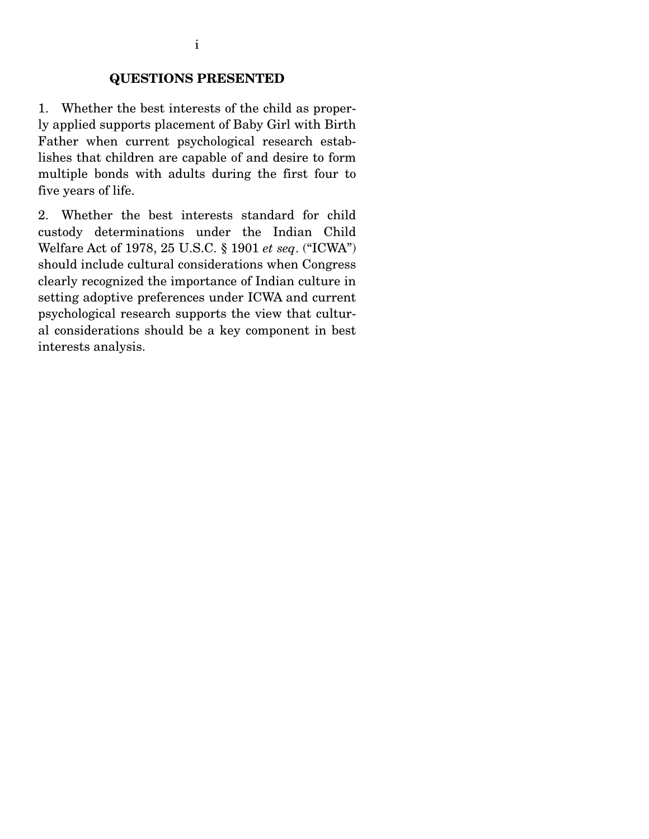## **QUESTIONS PRESENTED**

1. Whether the best interests of the child as properly applied supports placement of Baby Girl with Birth Father when current psychological research establishes that children are capable of and desire to form multiple bonds with adults during the first four to five years of life.

2. Whether the best interests standard for child custody determinations under the Indian Child Welfare Act of 1978, 25 U.S.C. § 1901 *et seq*. ("ICWA") should include cultural considerations when Congress clearly recognized the importance of Indian culture in setting adoptive preferences under ICWA and current psychological research supports the view that cultural considerations should be a key component in best interests analysis.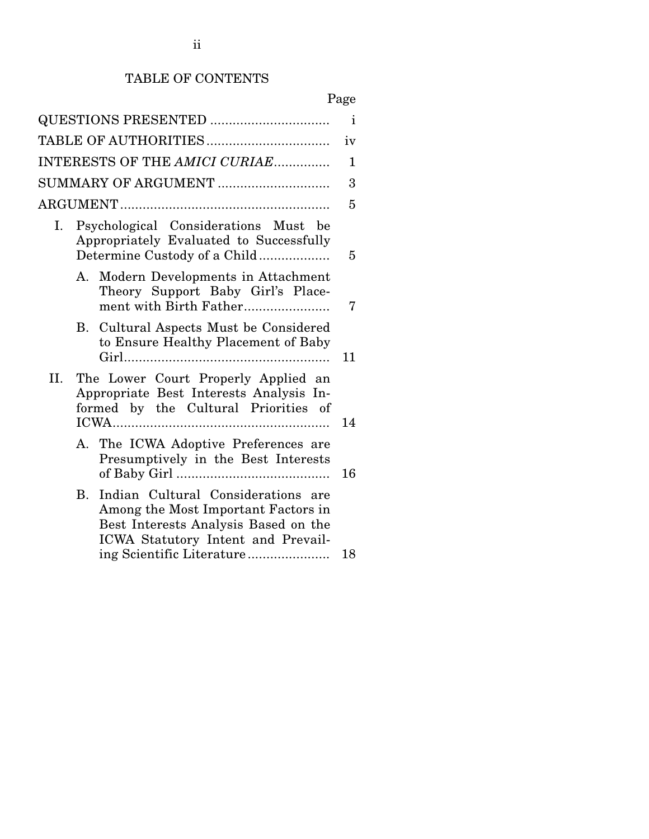## TABLE OF CONTENTS

| QUESTIONS PRESENTED           |                                                                                                                        |                                                                                                                                                                                      | $\mathbf{i}$ |
|-------------------------------|------------------------------------------------------------------------------------------------------------------------|--------------------------------------------------------------------------------------------------------------------------------------------------------------------------------------|--------------|
|                               |                                                                                                                        |                                                                                                                                                                                      | iv           |
| INTERESTS OF THE AMICI CURIAE |                                                                                                                        |                                                                                                                                                                                      | 1            |
| SUMMARY OF ARGUMENT           |                                                                                                                        |                                                                                                                                                                                      | 3            |
|                               |                                                                                                                        |                                                                                                                                                                                      | 5            |
|                               | Psychological Considerations Must be<br>Ι.<br>Appropriately Evaluated to Successfully<br>Determine Custody of a Child  |                                                                                                                                                                                      | 5            |
|                               |                                                                                                                        | A. Modern Developments in Attachment<br>Theory Support Baby Girl's Place-<br>ment with Birth Father                                                                                  | 7            |
|                               |                                                                                                                        | B. Cultural Aspects Must be Considered<br>to Ensure Healthy Placement of Baby                                                                                                        | 11           |
| II.                           | The Lower Court Properly Applied an<br>Appropriate Best Interests Analysis In-<br>formed by the Cultural Priorities of |                                                                                                                                                                                      | 14           |
|                               |                                                                                                                        | A. The ICWA Adoptive Preferences are<br>Presumptively in the Best Interests                                                                                                          | 16           |
|                               | B.                                                                                                                     | Indian Cultural Considerations are<br>Among the Most Important Factors in<br>Best Interests Analysis Based on the<br>ICWA Statutory Intent and Prevail-<br>ing Scientific Literature | 18           |
|                               |                                                                                                                        |                                                                                                                                                                                      |              |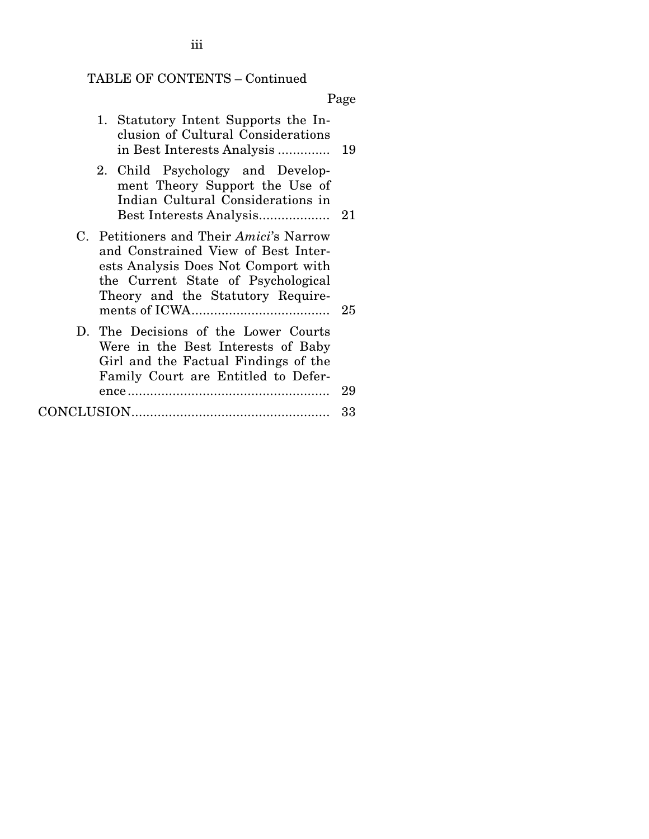# TABLE OF CONTENTS – Continued

Page

| 1. Statutory Intent Supports the In-<br>clusion of Cultural Considerations                                                                                                                       |      |
|--------------------------------------------------------------------------------------------------------------------------------------------------------------------------------------------------|------|
| 2. Child Psychology and Develop-<br>ment Theory Support the Use of<br>Indian Cultural Considerations in                                                                                          |      |
| C. Petitioners and Their Amici's Narrow<br>and Constrained View of Best Inter-<br>ests Analysis Does Not Comport with<br>the Current State of Psychological<br>Theory and the Statutory Require- | - 25 |
| D. The Decisions of the Lower Courts<br>Were in the Best Interests of Baby<br>Girl and the Factual Findings of the<br>Family Court are Entitled to Defer-                                        | 29   |
|                                                                                                                                                                                                  | 33   |

iii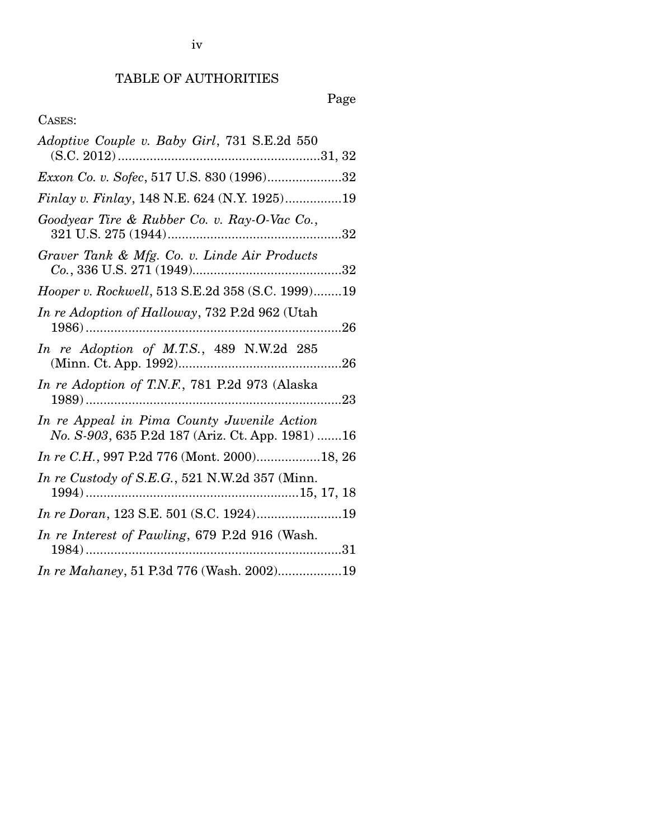# Page

## CASES:

| Adoptive Couple v. Baby Girl, 731 S.E.2d 550                                                     |
|--------------------------------------------------------------------------------------------------|
|                                                                                                  |
| Exxon Co. v. Sofec, 517 U.S. 830 (1996)32                                                        |
| Finlay v. Finlay, 148 N.E. 624 (N.Y. 1925)19                                                     |
| Goodyear Tire & Rubber Co. v. Ray-O-Vac Co.,                                                     |
| Graver Tank & Mfg. Co. v. Linde Air Products                                                     |
| Hooper v. Rockwell, 513 S.E.2d 358 (S.C. 1999)19                                                 |
| In re Adoption of Halloway, 732 P.2d 962 (Utah                                                   |
| In re Adoption of M.T.S., 489 N.W.2d 285                                                         |
| In re Adoption of T.N.F., 781 P.2d 973 (Alaska                                                   |
| In re Appeal in Pima County Juvenile Action<br>No. S-903, 635 P.2d 187 (Ariz. Ct. App. 1981)  16 |
| In re C.H., 997 P.2d 776 (Mont. 2000)18, 26                                                      |
| In re Custody of S.E.G., 521 N.W.2d 357 (Minn.                                                   |
| In re Doran, 123 S.E. 501 (S.C. 1924)19                                                          |
| In re Interest of Pawling, 679 P.2d 916 (Wash.                                                   |
| In re Mahaney, 51 P.3d 776 (Wash. 2002)19                                                        |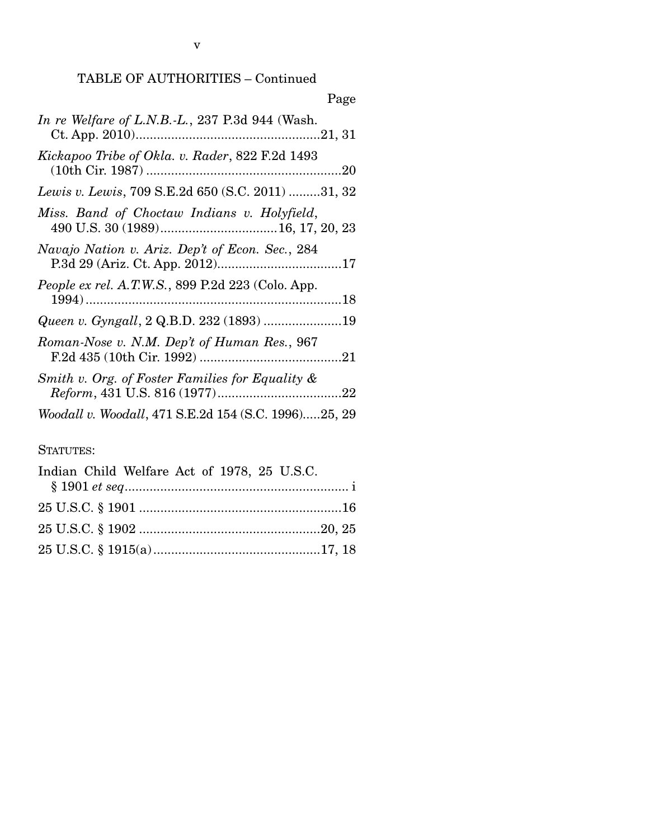| Page                                                 |
|------------------------------------------------------|
| In re Welfare of L.N.B.-L., 237 P.3d 944 (Wash.      |
| Kickapoo Tribe of Okla. v. Rader, 822 F.2d 1493      |
| Lewis v. Lewis, 709 S.E.2d 650 (S.C. 2011) 31, 32    |
| Miss. Band of Choctaw Indians v. Holyfield,          |
| Navajo Nation v. Ariz. Dep't of Econ. Sec., 284      |
| People ex rel. A.T.W.S., 899 P.2d 223 (Colo. App.    |
| Queen v. Gyngall, 2 Q.B.D. 232 (1893) 19             |
| Roman-Nose v. N.M. Dep't of Human Res., 967          |
| Smith v. Org. of Foster Families for Equality &      |
| Woodall v. Woodall, 471 S.E.2d 154 (S.C. 1996)25, 29 |
|                                                      |

### STATUTES:

| Indian Child Welfare Act of 1978, 25 U.S.C. |  |
|---------------------------------------------|--|
|                                             |  |
|                                             |  |
|                                             |  |
|                                             |  |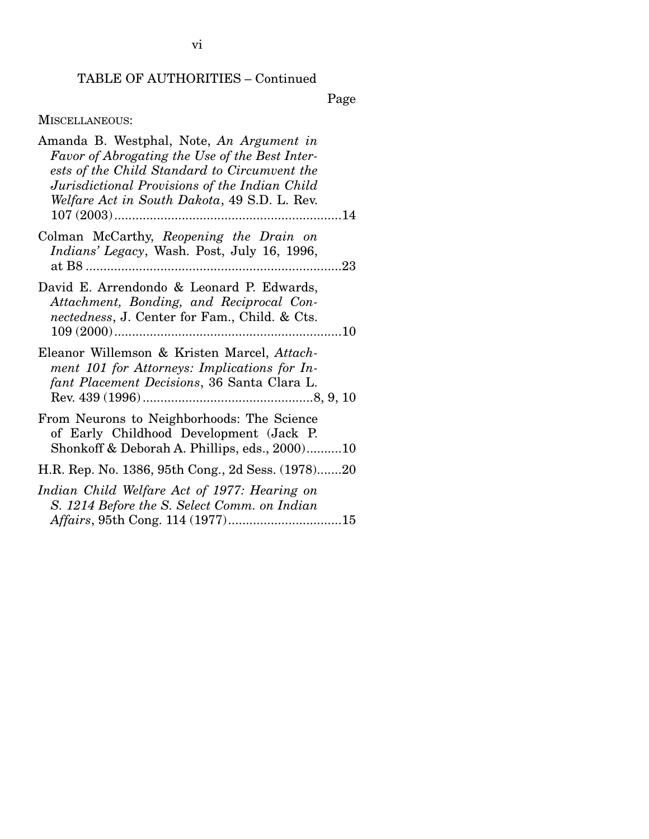Page

## MISCELLANEOUS:

| Amanda B. Westphal, Note, An Argument in<br>Favor of Abrogating the Use of the Best Inter-<br>ests of the Child Standard to Circumvent the<br>Jurisdictional Provisions of the Indian Child<br>Welfare Act in South Dakota, 49 S.D. L. Rev. |
|---------------------------------------------------------------------------------------------------------------------------------------------------------------------------------------------------------------------------------------------|
| Colman McCarthy, Reopening the Drain on<br><i>Indians' Legacy</i> , Wash. Post, July 16, 1996,                                                                                                                                              |
| David E. Arrendondo & Leonard P. Edwards,<br>Attachment, Bonding, and Reciprocal Con-<br>nectedness, J. Center for Fam., Child. & Cts.                                                                                                      |
| Eleanor Willemson & Kristen Marcel, Attach-<br>ment 101 for Attorneys: Implications for In-<br>fant Placement Decisions, 36 Santa Clara L.                                                                                                  |
| From Neurons to Neighborhoods: The Science<br>of Early Childhood Development (Jack P.<br>Shonkoff & Deborah A. Phillips, eds., 200010                                                                                                       |
| H.R. Rep. No. 1386, 95th Cong., 2d Sess. (1978)20                                                                                                                                                                                           |
| Indian Child Welfare Act of 1977: Hearing on<br>S. 1214 Before the S. Select Comm. on Indian                                                                                                                                                |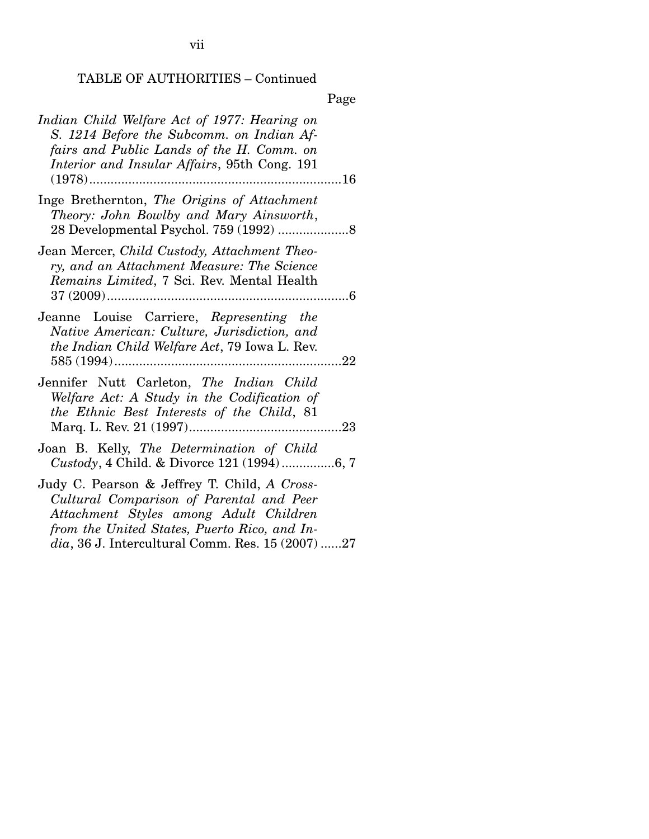Page

| Indian Child Welfare Act of 1977: Hearing on<br>S. 1214 Before the Subcomm. on Indian Af-<br>fairs and Public Lands of the H. Comm. on<br>Interior and Insular Affairs, 95th Cong. 191<br>16                                              |
|-------------------------------------------------------------------------------------------------------------------------------------------------------------------------------------------------------------------------------------------|
| Inge Brethernton, The Origins of Attachment<br>Theory: John Bowlby and Mary Ainsworth,                                                                                                                                                    |
| Jean Mercer, Child Custody, Attachment Theo-<br>ry, and an Attachment Measure: The Science<br>Remains Limited, 7 Sci. Rev. Mental Health                                                                                                  |
| Jeanne Louise Carriere, Representing the<br>Native American: Culture, Jurisdiction, and<br>the Indian Child Welfare Act, 79 Iowa L. Rev.                                                                                                  |
| Jennifer Nutt Carleton, The Indian Child<br>Welfare Act: A Study in the Codification of<br>the Ethnic Best Interests of the Child, 81                                                                                                     |
| Joan B. Kelly, The Determination of Child<br>Custody, 4 Child. & Divorce 121 (1994)6, 7                                                                                                                                                   |
| Judy C. Pearson & Jeffrey T. Child, A Cross-<br>Cultural Comparison of Parental and Peer<br>Attachment Styles among Adult Children<br>from the United States, Puerto Rico, and In-<br>$dia$ , 36 J. Intercultural Comm. Res. 15 (2007) 27 |

vii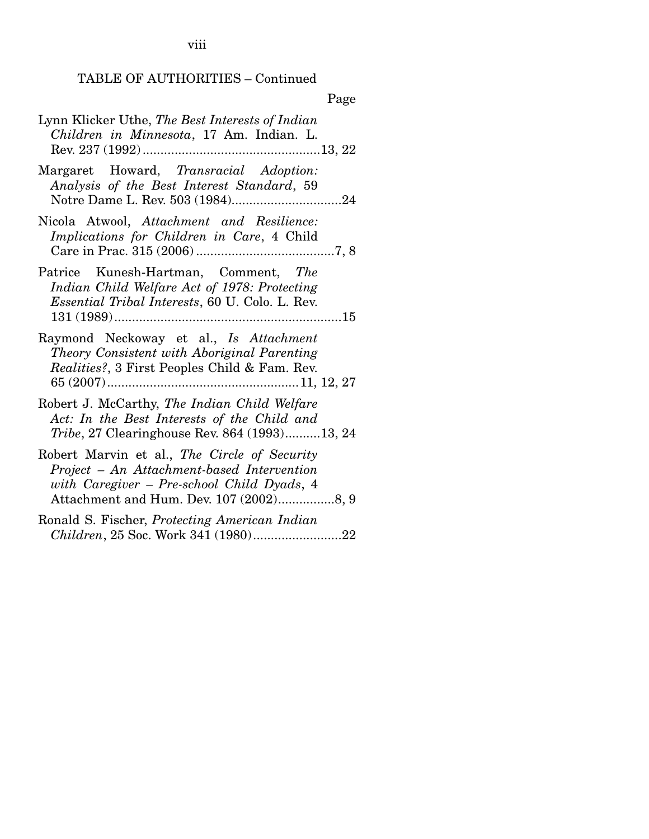viii

## TABLE OF AUTHORITIES – Continued

| Lynn Klicker Uthe, The Best Interests of Indian<br>Children in Minnesota, 17 Am. Indian. L.                                                                                         |
|-------------------------------------------------------------------------------------------------------------------------------------------------------------------------------------|
| Margaret Howard, Transracial Adoption:<br>Analysis of the Best Interest Standard, 59                                                                                                |
| Nicola Atwool, Attachment and Resilience:<br>Implications for Children in Care, 4 Child                                                                                             |
| Patrice Kunesh-Hartman, Comment, The<br>Indian Child Welfare Act of 1978: Protecting<br><i>Essential Tribal Interests, 60 U. Colo. L. Rev.</i>                                      |
| Raymond Neckoway et al., Is Attachment<br>Theory Consistent with Aboriginal Parenting<br><i>Realities?</i> , 3 First Peoples Child & Fam. Rev.                                      |
| Robert J. McCarthy, The Indian Child Welfare<br>Act: In the Best Interests of the Child and<br><i>Tribe</i> , 27 Clearinghouse Rev. 864 (1993)13, 24                                |
| Robert Marvin et al., The Circle of Security<br>Project - An Attachment-based Intervention<br>with Caregiver – Pre-school Child Dyads, 4<br>Attachment and Hum. Dev. 107 (2002)8, 9 |
| Ronald S. Fischer, Protecting American Indian<br>Children, 25 Soc. Work 341 (1980)22                                                                                                |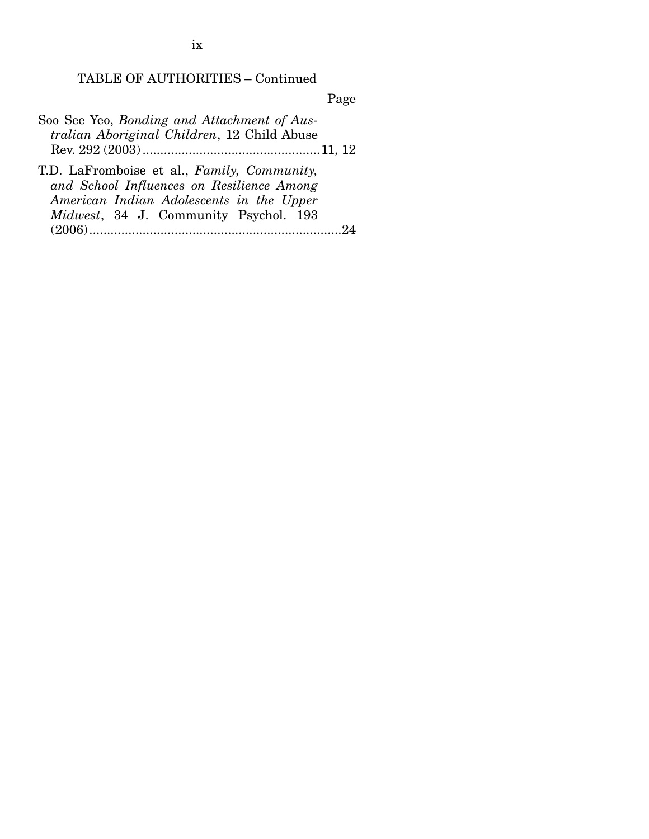Page

| Soo See Yeo, Bonding and Attachment of Aus- |
|---------------------------------------------|
| tralian Aboriginal Children, 12 Child Abuse |
|                                             |
| T.D. LaFromboise et al., Family, Community, |
| and School Influences on Resilience Among   |
| American Indian Adolescents in the Upper    |
| Midwest, 34 J. Community Psychol. 193       |

(2006) ....................................................................... 24

ix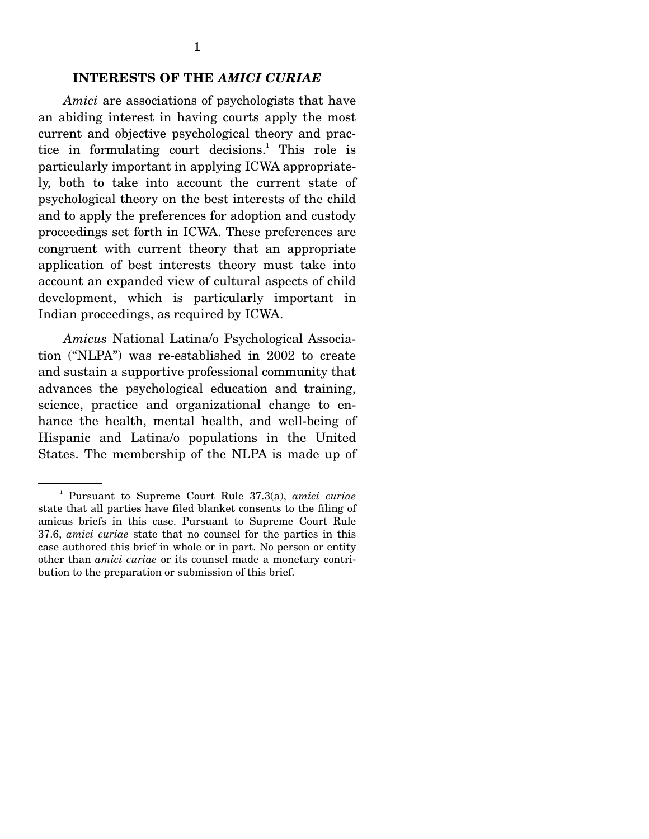*Amici* are associations of psychologists that have an abiding interest in having courts apply the most current and objective psychological theory and practice in formulating court decisions.<sup>1</sup> This role is particularly important in applying ICWA appropriately, both to take into account the current state of psychological theory on the best interests of the child and to apply the preferences for adoption and custody proceedings set forth in ICWA. These preferences are congruent with current theory that an appropriate application of best interests theory must take into account an expanded view of cultural aspects of child development, which is particularly important in Indian proceedings, as required by ICWA.

*Amicus* National Latina/o Psychological Association ("NLPA") was re-established in 2002 to create and sustain a supportive professional community that advances the psychological education and training, science, practice and organizational change to enhance the health, mental health, and well-being of Hispanic and Latina/o populations in the United States. The membership of the NLPA is made up of

<sup>1</sup> Pursuant to Supreme Court Rule 37.3(a), *amici curiae* state that all parties have filed blanket consents to the filing of amicus briefs in this case. Pursuant to Supreme Court Rule 37.6, *amici curiae* state that no counsel for the parties in this case authored this brief in whole or in part. No person or entity other than *amici curiae* or its counsel made a monetary contribution to the preparation or submission of this brief.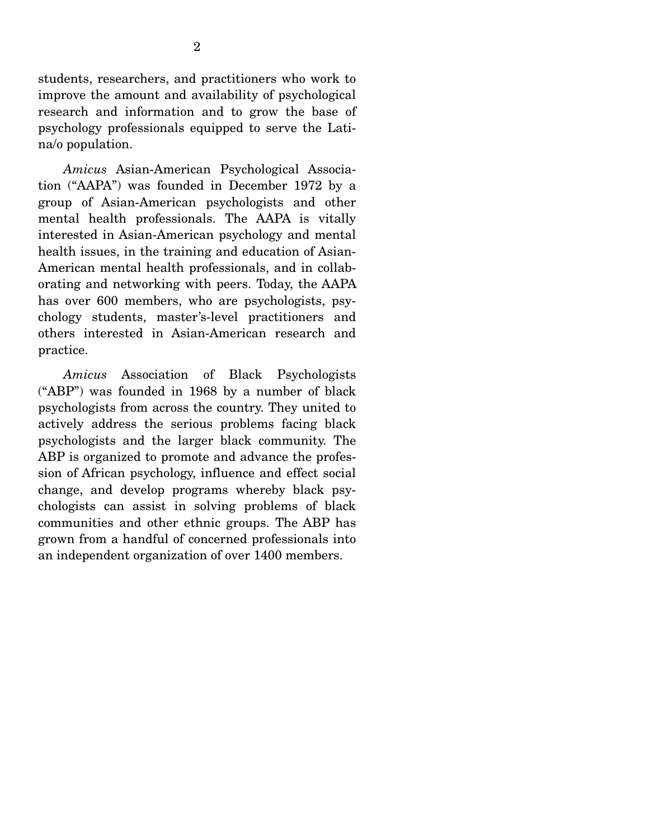students, researchers, and practitioners who work to improve the amount and availability of psychological research and information and to grow the base of psychology professionals equipped to serve the Latina/o population.

*Amicus* Asian-American Psychological Association ("AAPA") was founded in December 1972 by a group of Asian-American psychologists and other mental health professionals. The AAPA is vitally interested in Asian-American psychology and mental health issues, in the training and education of Asian-American mental health professionals, and in collaborating and networking with peers. Today, the AAPA has over 600 members, who are psychologists, psychology students, master's-level practitioners and others interested in Asian-American research and practice.

*Amicus* Association of Black Psychologists ("ABP") was founded in 1968 by a number of black psychologists from across the country. They united to actively address the serious problems facing black psychologists and the larger black community. The ABP is organized to promote and advance the profession of African psychology, influence and effect social change, and develop programs whereby black psychologists can assist in solving problems of black communities and other ethnic groups. The ABP has grown from a handful of concerned professionals into an independent organization of over 1400 members.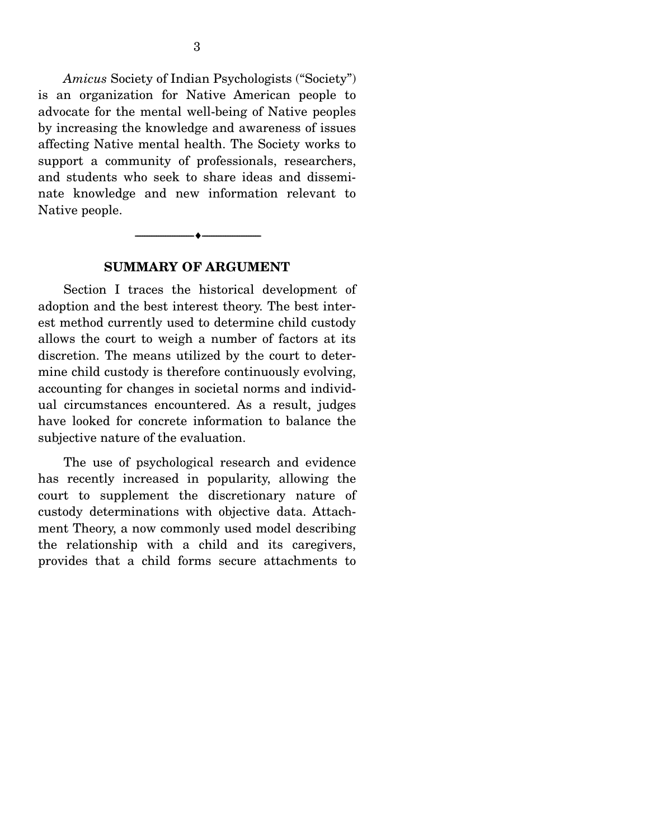*Amicus* Society of Indian Psychologists ("Society") is an organization for Native American people to advocate for the mental well-being of Native peoples by increasing the knowledge and awareness of issues affecting Native mental health. The Society works to support a community of professionals, researchers, and students who seek to share ideas and disseminate knowledge and new information relevant to Native people.

#### --------------------------------- ---------------------------------

#### **SUMMARY OF ARGUMENT**

 Section I traces the historical development of adoption and the best interest theory. The best interest method currently used to determine child custody allows the court to weigh a number of factors at its discretion. The means utilized by the court to determine child custody is therefore continuously evolving, accounting for changes in societal norms and individual circumstances encountered. As a result, judges have looked for concrete information to balance the subjective nature of the evaluation.

 The use of psychological research and evidence has recently increased in popularity, allowing the court to supplement the discretionary nature of custody determinations with objective data. Attachment Theory, a now commonly used model describing the relationship with a child and its caregivers, provides that a child forms secure attachments to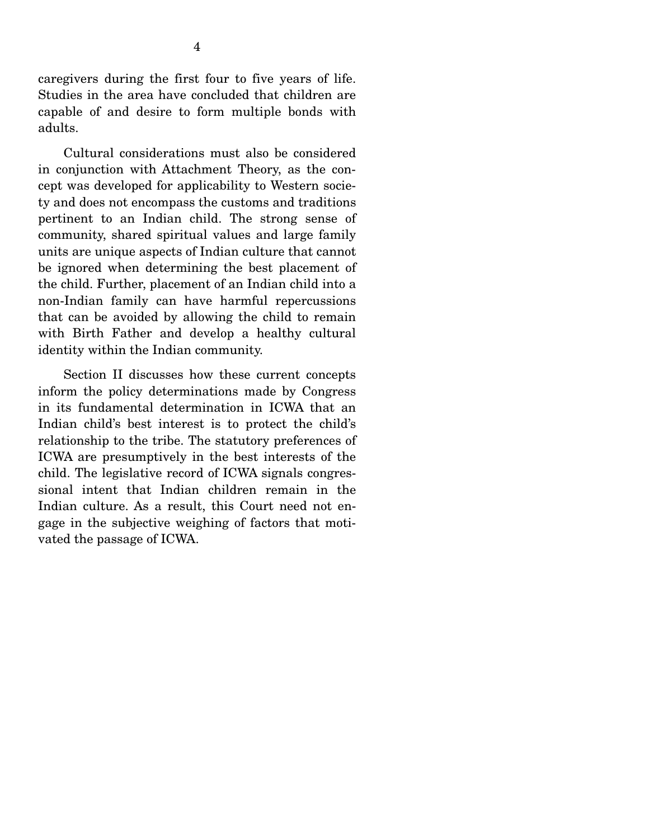caregivers during the first four to five years of life. Studies in the area have concluded that children are capable of and desire to form multiple bonds with adults.

 Cultural considerations must also be considered in conjunction with Attachment Theory, as the concept was developed for applicability to Western society and does not encompass the customs and traditions pertinent to an Indian child. The strong sense of community, shared spiritual values and large family units are unique aspects of Indian culture that cannot be ignored when determining the best placement of the child. Further, placement of an Indian child into a non-Indian family can have harmful repercussions that can be avoided by allowing the child to remain with Birth Father and develop a healthy cultural identity within the Indian community.

 Section II discusses how these current concepts inform the policy determinations made by Congress in its fundamental determination in ICWA that an Indian child's best interest is to protect the child's relationship to the tribe. The statutory preferences of ICWA are presumptively in the best interests of the child. The legislative record of ICWA signals congressional intent that Indian children remain in the Indian culture. As a result, this Court need not engage in the subjective weighing of factors that motivated the passage of ICWA.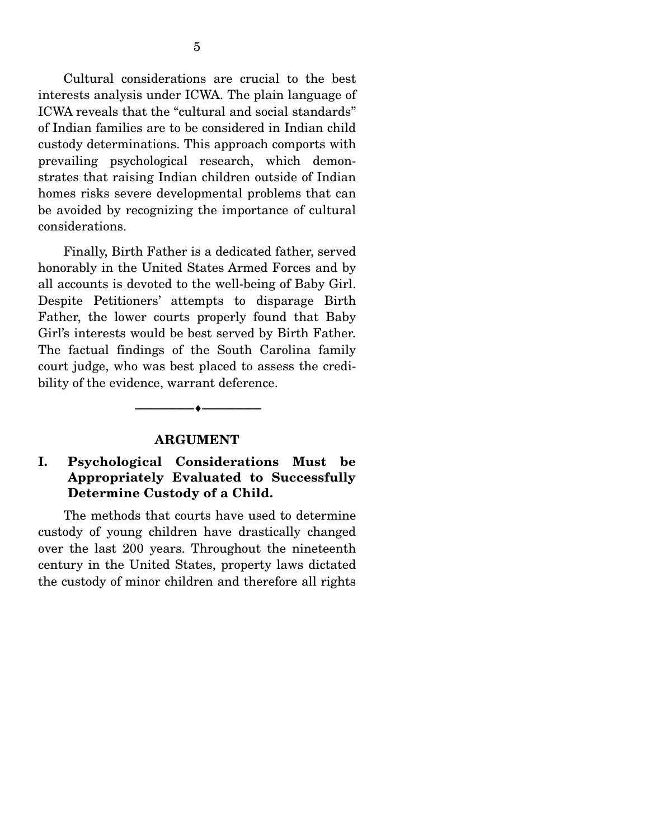Cultural considerations are crucial to the best interests analysis under ICWA. The plain language of ICWA reveals that the "cultural and social standards" of Indian families are to be considered in Indian child custody determinations. This approach comports with prevailing psychological research, which demonstrates that raising Indian children outside of Indian homes risks severe developmental problems that can be avoided by recognizing the importance of cultural considerations.

 Finally, Birth Father is a dedicated father, served honorably in the United States Armed Forces and by all accounts is devoted to the well-being of Baby Girl. Despite Petitioners' attempts to disparage Birth Father, the lower courts properly found that Baby Girl's interests would be best served by Birth Father. The factual findings of the South Carolina family court judge, who was best placed to assess the credibility of the evidence, warrant deference.

#### **ARGUMENT**

--------------------------------- ---------------------------------

### **I. Psychological Considerations Must be Appropriately Evaluated to Successfully Determine Custody of a Child.**

 The methods that courts have used to determine custody of young children have drastically changed over the last 200 years. Throughout the nineteenth century in the United States, property laws dictated the custody of minor children and therefore all rights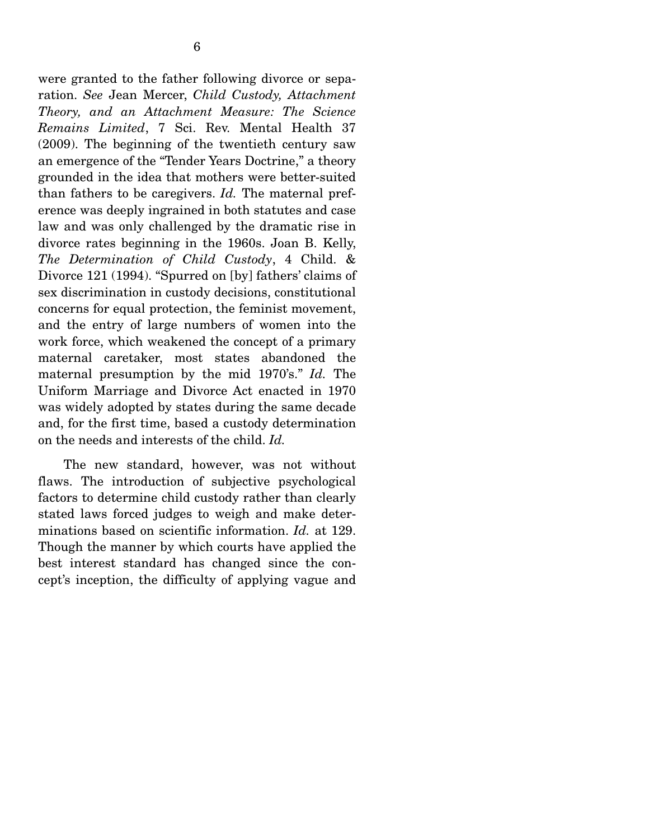were granted to the father following divorce or separation. *See* Jean Mercer, *Child Custody, Attachment Theory, and an Attachment Measure: The Science Remains Limited*, 7 Sci. Rev. Mental Health 37 (2009). The beginning of the twentieth century saw an emergence of the "Tender Years Doctrine," a theory grounded in the idea that mothers were better-suited than fathers to be caregivers. *Id.* The maternal preference was deeply ingrained in both statutes and case law and was only challenged by the dramatic rise in divorce rates beginning in the 1960s. Joan B. Kelly, *The Determination of Child Custody*, 4 Child. & Divorce 121 (1994). "Spurred on [by] fathers' claims of sex discrimination in custody decisions, constitutional concerns for equal protection, the feminist movement, and the entry of large numbers of women into the work force, which weakened the concept of a primary maternal caretaker, most states abandoned the maternal presumption by the mid 1970's." *Id.* The Uniform Marriage and Divorce Act enacted in 1970 was widely adopted by states during the same decade and, for the first time, based a custody determination on the needs and interests of the child. *Id.*

 The new standard, however, was not without flaws. The introduction of subjective psychological factors to determine child custody rather than clearly stated laws forced judges to weigh and make determinations based on scientific information. *Id.* at 129. Though the manner by which courts have applied the best interest standard has changed since the concept's inception, the difficulty of applying vague and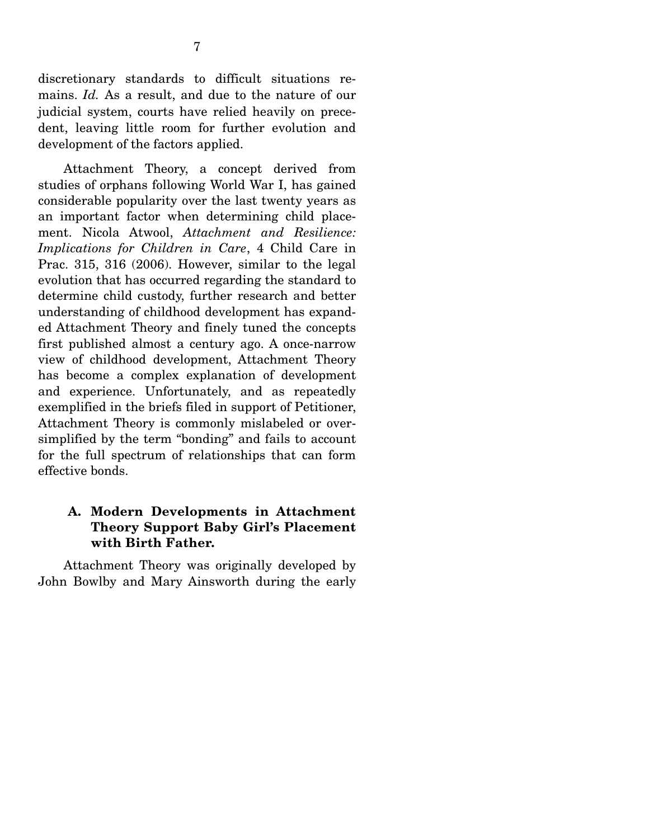discretionary standards to difficult situations remains. *Id.* As a result, and due to the nature of our judicial system, courts have relied heavily on precedent, leaving little room for further evolution and development of the factors applied.

 Attachment Theory, a concept derived from studies of orphans following World War I, has gained considerable popularity over the last twenty years as an important factor when determining child placement. Nicola Atwool, *Attachment and Resilience: Implications for Children in Care*, 4 Child Care in Prac. 315, 316 (2006). However, similar to the legal evolution that has occurred regarding the standard to determine child custody, further research and better understanding of childhood development has expanded Attachment Theory and finely tuned the concepts first published almost a century ago. A once-narrow view of childhood development, Attachment Theory has become a complex explanation of development and experience. Unfortunately, and as repeatedly exemplified in the briefs filed in support of Petitioner, Attachment Theory is commonly mislabeled or oversimplified by the term "bonding" and fails to account for the full spectrum of relationships that can form effective bonds.

## **A. Modern Developments in Attachment Theory Support Baby Girl's Placement with Birth Father.**

 Attachment Theory was originally developed by John Bowlby and Mary Ainsworth during the early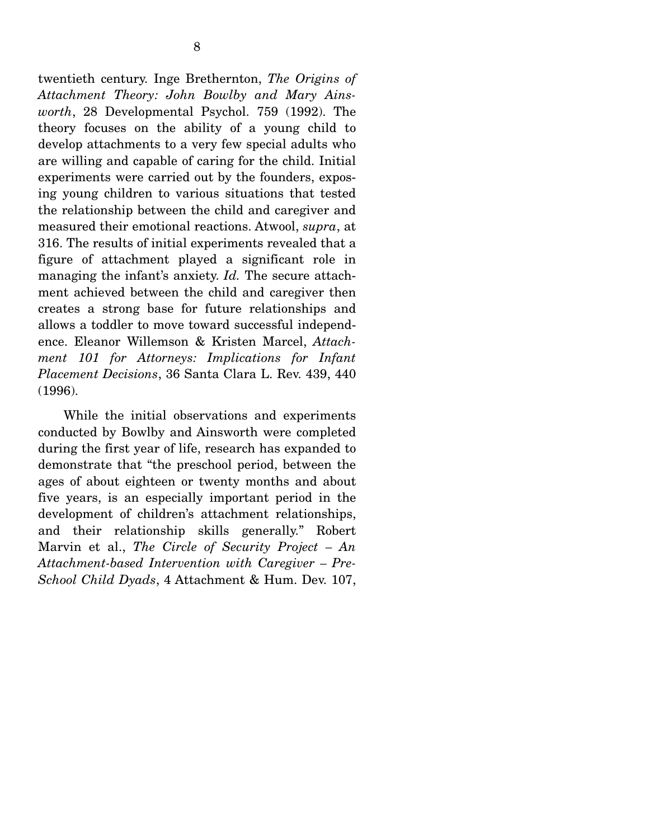twentieth century. Inge Brethernton, *The Origins of Attachment Theory: John Bowlby and Mary Ainsworth*, 28 Developmental Psychol. 759 (1992). The theory focuses on the ability of a young child to develop attachments to a very few special adults who are willing and capable of caring for the child. Initial experiments were carried out by the founders, exposing young children to various situations that tested the relationship between the child and caregiver and measured their emotional reactions. Atwool, *supra*, at 316. The results of initial experiments revealed that a figure of attachment played a significant role in managing the infant's anxiety. *Id.* The secure attachment achieved between the child and caregiver then creates a strong base for future relationships and allows a toddler to move toward successful independence. Eleanor Willemson & Kristen Marcel, *Attachment 101 for Attorneys: Implications for Infant Placement Decisions*, 36 Santa Clara L. Rev. 439, 440 (1996).

 While the initial observations and experiments conducted by Bowlby and Ainsworth were completed during the first year of life, research has expanded to demonstrate that "the preschool period, between the ages of about eighteen or twenty months and about five years, is an especially important period in the development of children's attachment relationships, and their relationship skills generally." Robert Marvin et al., *The Circle of Security Project – An Attachment-based Intervention with Caregiver – Pre-School Child Dyads*, 4 Attachment & Hum. Dev. 107,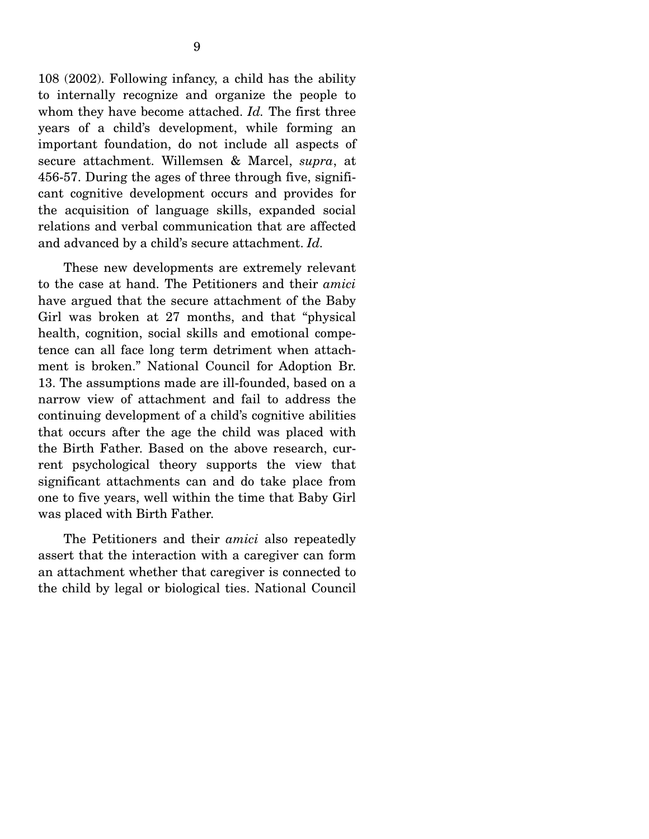108 (2002). Following infancy, a child has the ability to internally recognize and organize the people to whom they have become attached. *Id.* The first three years of a child's development, while forming an important foundation, do not include all aspects of secure attachment. Willemsen & Marcel, *supra*, at 456-57. During the ages of three through five, significant cognitive development occurs and provides for the acquisition of language skills, expanded social relations and verbal communication that are affected and advanced by a child's secure attachment. *Id.*

 These new developments are extremely relevant to the case at hand. The Petitioners and their *amici* have argued that the secure attachment of the Baby Girl was broken at 27 months, and that "physical health, cognition, social skills and emotional competence can all face long term detriment when attachment is broken." National Council for Adoption Br. 13. The assumptions made are ill-founded, based on a narrow view of attachment and fail to address the continuing development of a child's cognitive abilities that occurs after the age the child was placed with the Birth Father. Based on the above research, current psychological theory supports the view that significant attachments can and do take place from one to five years, well within the time that Baby Girl was placed with Birth Father.

 The Petitioners and their *amici* also repeatedly assert that the interaction with a caregiver can form an attachment whether that caregiver is connected to the child by legal or biological ties. National Council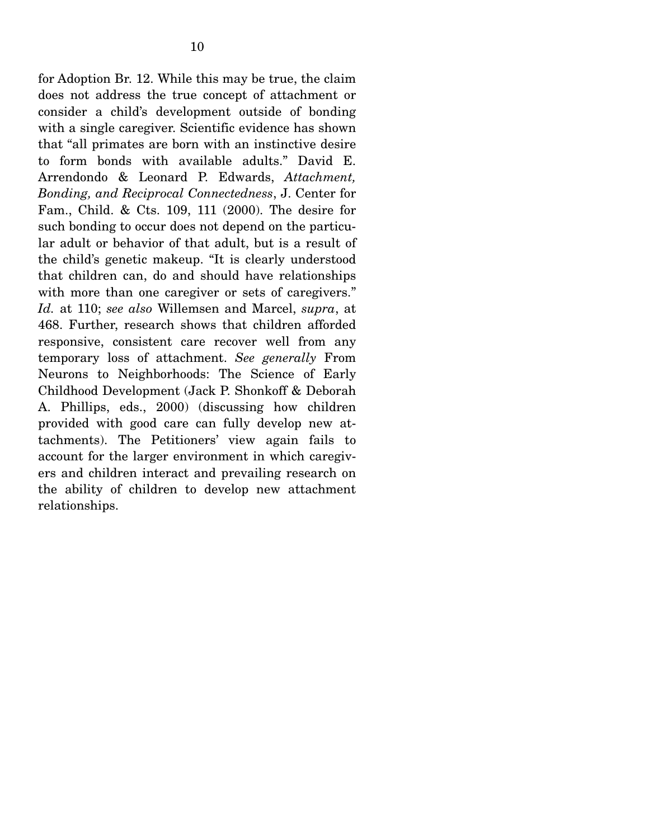for Adoption Br. 12. While this may be true, the claim does not address the true concept of attachment or consider a child's development outside of bonding with a single caregiver. Scientific evidence has shown that "all primates are born with an instinctive desire to form bonds with available adults." David E. Arrendondo & Leonard P. Edwards, *Attachment, Bonding, and Reciprocal Connectedness*, J. Center for Fam., Child. & Cts. 109, 111 (2000). The desire for such bonding to occur does not depend on the particular adult or behavior of that adult, but is a result of the child's genetic makeup. "It is clearly understood that children can, do and should have relationships with more than one caregiver or sets of caregivers." *Id.* at 110; *see also* Willemsen and Marcel, *supra*, at 468. Further, research shows that children afforded responsive, consistent care recover well from any temporary loss of attachment. *See generally* From Neurons to Neighborhoods: The Science of Early Childhood Development (Jack P. Shonkoff & Deborah A. Phillips, eds., 2000) (discussing how children provided with good care can fully develop new attachments). The Petitioners' view again fails to account for the larger environment in which caregivers and children interact and prevailing research on the ability of children to develop new attachment relationships.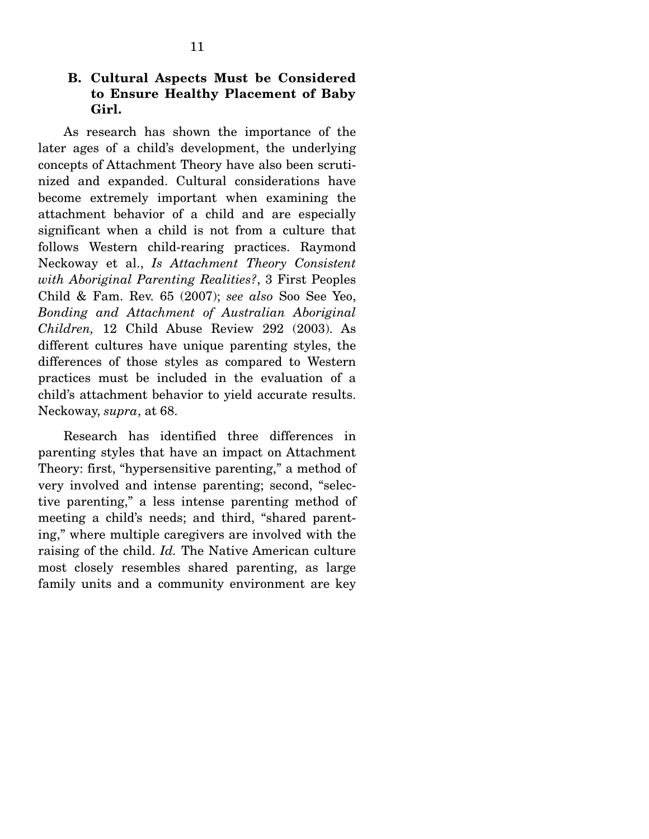### **B. Cultural Aspects Must be Considered to Ensure Healthy Placement of Baby Girl.**

 As research has shown the importance of the later ages of a child's development, the underlying concepts of Attachment Theory have also been scrutinized and expanded. Cultural considerations have become extremely important when examining the attachment behavior of a child and are especially significant when a child is not from a culture that follows Western child-rearing practices. Raymond Neckoway et al., *Is Attachment Theory Consistent with Aboriginal Parenting Realities?*, 3 First Peoples Child & Fam. Rev. 65 (2007); *see also* Soo See Yeo, *Bonding and Attachment of Australian Aboriginal Children,* 12 Child Abuse Review 292 (2003). As different cultures have unique parenting styles, the differences of those styles as compared to Western practices must be included in the evaluation of a child's attachment behavior to yield accurate results. Neckoway, *supra*, at 68.

 Research has identified three differences in parenting styles that have an impact on Attachment Theory: first, "hypersensitive parenting," a method of very involved and intense parenting; second, "selective parenting," a less intense parenting method of meeting a child's needs; and third, "shared parenting," where multiple caregivers are involved with the raising of the child. *Id.* The Native American culture most closely resembles shared parenting, as large family units and a community environment are key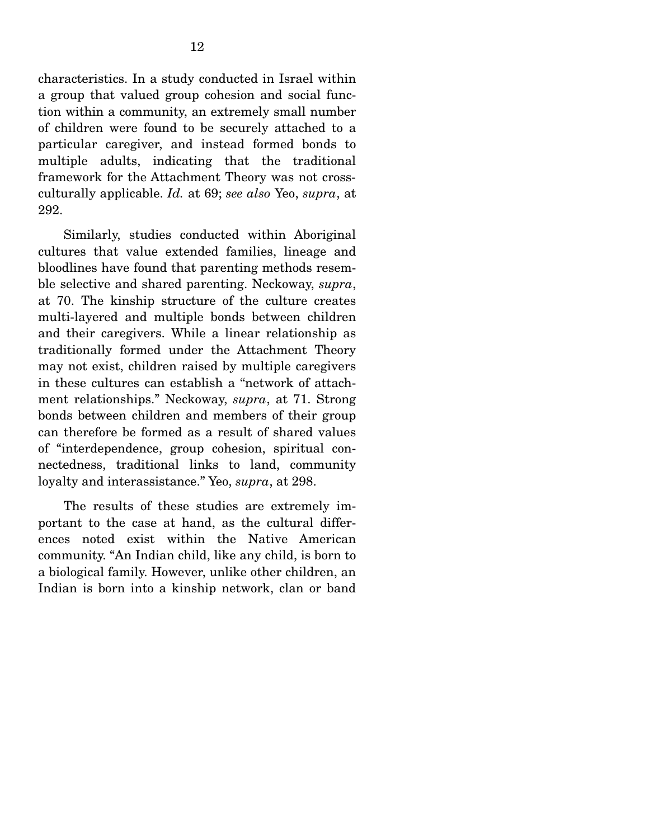characteristics. In a study conducted in Israel within a group that valued group cohesion and social function within a community, an extremely small number of children were found to be securely attached to a particular caregiver, and instead formed bonds to multiple adults, indicating that the traditional framework for the Attachment Theory was not crossculturally applicable. *Id.* at 69; *see also* Yeo, *supra*, at 292.

 Similarly, studies conducted within Aboriginal cultures that value extended families, lineage and bloodlines have found that parenting methods resemble selective and shared parenting. Neckoway, *supra*, at 70. The kinship structure of the culture creates multi-layered and multiple bonds between children and their caregivers. While a linear relationship as traditionally formed under the Attachment Theory may not exist, children raised by multiple caregivers in these cultures can establish a "network of attachment relationships." Neckoway, *supra*, at 71. Strong bonds between children and members of their group can therefore be formed as a result of shared values of "interdependence, group cohesion, spiritual connectedness, traditional links to land, community loyalty and interassistance." Yeo, *supra*, at 298.

 The results of these studies are extremely important to the case at hand, as the cultural differences noted exist within the Native American community. "An Indian child, like any child, is born to a biological family. However, unlike other children, an Indian is born into a kinship network, clan or band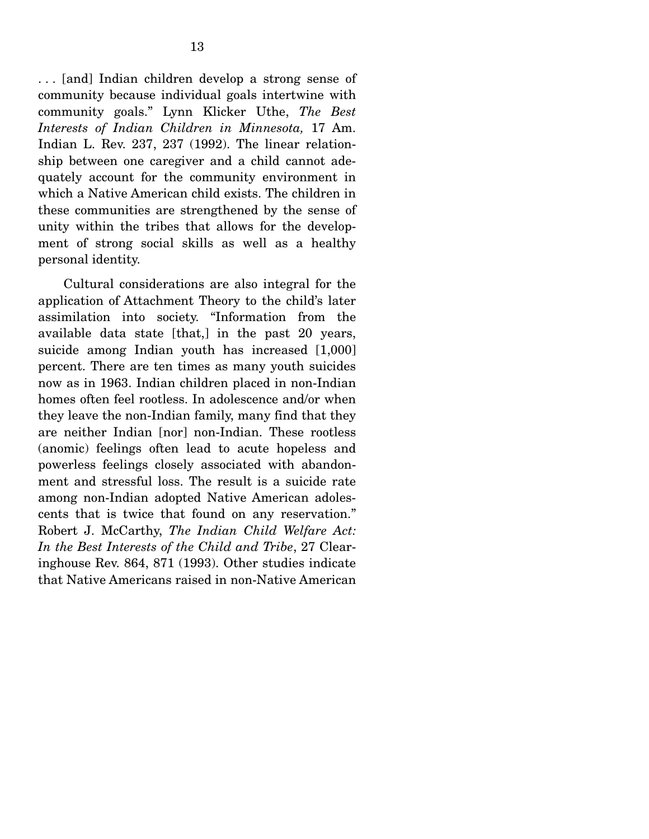. . . [and] Indian children develop a strong sense of community because individual goals intertwine with community goals." Lynn Klicker Uthe, *The Best Interests of Indian Children in Minnesota,* 17 Am. Indian L. Rev. 237, 237 (1992). The linear relationship between one caregiver and a child cannot adequately account for the community environment in which a Native American child exists. The children in these communities are strengthened by the sense of unity within the tribes that allows for the development of strong social skills as well as a healthy personal identity.

 Cultural considerations are also integral for the application of Attachment Theory to the child's later assimilation into society. "Information from the available data state [that,] in the past 20 years, suicide among Indian youth has increased [1,000] percent. There are ten times as many youth suicides now as in 1963. Indian children placed in non-Indian homes often feel rootless. In adolescence and/or when they leave the non-Indian family, many find that they are neither Indian [nor] non-Indian. These rootless (anomic) feelings often lead to acute hopeless and powerless feelings closely associated with abandonment and stressful loss. The result is a suicide rate among non-Indian adopted Native American adolescents that is twice that found on any reservation." Robert J. McCarthy, *The Indian Child Welfare Act: In the Best Interests of the Child and Tribe*, 27 Clearinghouse Rev. 864, 871 (1993). Other studies indicate that Native Americans raised in non-Native American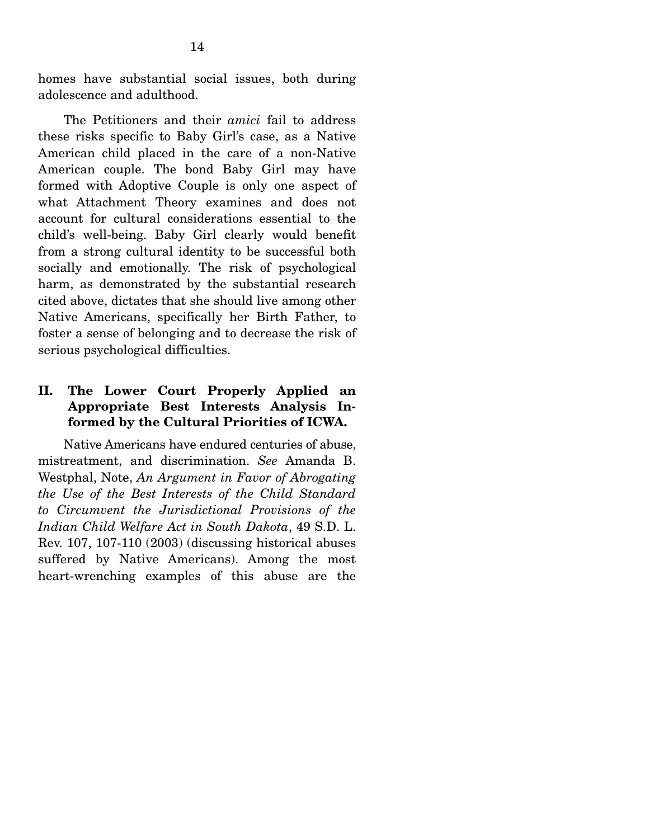homes have substantial social issues, both during adolescence and adulthood.

 The Petitioners and their *amici* fail to address these risks specific to Baby Girl's case, as a Native American child placed in the care of a non-Native American couple. The bond Baby Girl may have formed with Adoptive Couple is only one aspect of what Attachment Theory examines and does not account for cultural considerations essential to the child's well-being. Baby Girl clearly would benefit from a strong cultural identity to be successful both socially and emotionally. The risk of psychological harm, as demonstrated by the substantial research cited above, dictates that she should live among other Native Americans, specifically her Birth Father, to foster a sense of belonging and to decrease the risk of serious psychological difficulties.

## **II. The Lower Court Properly Applied an Appropriate Best Interests Analysis Informed by the Cultural Priorities of ICWA.**

 Native Americans have endured centuries of abuse, mistreatment, and discrimination. *See* Amanda B. Westphal, Note, *An Argument in Favor of Abrogating the Use of the Best Interests of the Child Standard to Circumvent the Jurisdictional Provisions of the Indian Child Welfare Act in South Dakota*, 49 S.D. L. Rev. 107, 107-110 (2003) (discussing historical abuses suffered by Native Americans). Among the most heart-wrenching examples of this abuse are the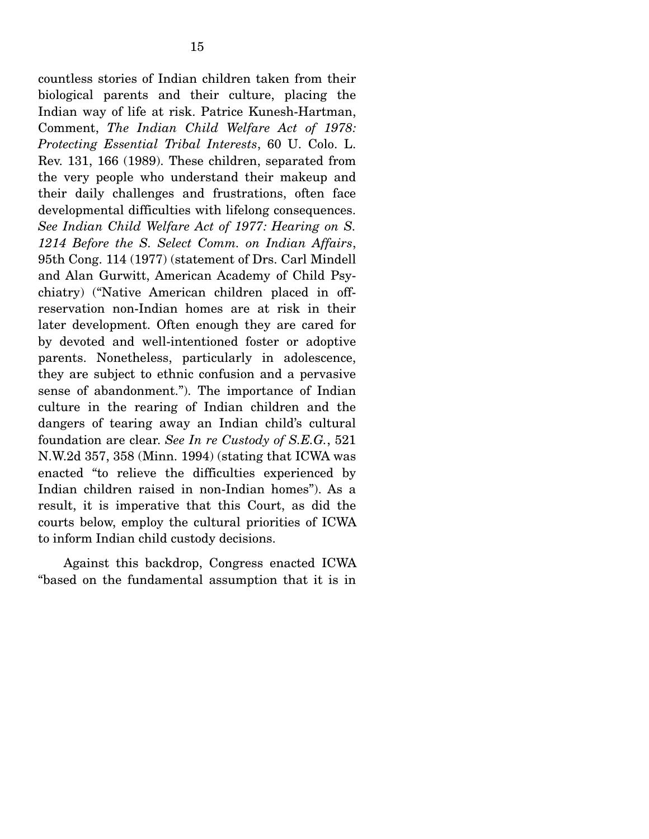countless stories of Indian children taken from their biological parents and their culture, placing the Indian way of life at risk. Patrice Kunesh-Hartman, Comment, *The Indian Child Welfare Act of 1978: Protecting Essential Tribal Interests*, 60 U. Colo. L. Rev. 131, 166 (1989). These children, separated from the very people who understand their makeup and their daily challenges and frustrations, often face developmental difficulties with lifelong consequences. *See Indian Child Welfare Act of 1977: Hearing on S. 1214 Before the S. Select Comm. on Indian Affairs*, 95th Cong. 114 (1977) (statement of Drs. Carl Mindell and Alan Gurwitt, American Academy of Child Psychiatry) ("Native American children placed in offreservation non-Indian homes are at risk in their later development. Often enough they are cared for by devoted and well-intentioned foster or adoptive parents. Nonetheless, particularly in adolescence, they are subject to ethnic confusion and a pervasive sense of abandonment."). The importance of Indian culture in the rearing of Indian children and the dangers of tearing away an Indian child's cultural foundation are clear. *See In re Custody of S.E.G.*, 521 N.W.2d 357, 358 (Minn. 1994) (stating that ICWA was enacted "to relieve the difficulties experienced by Indian children raised in non-Indian homes"). As a result, it is imperative that this Court, as did the courts below, employ the cultural priorities of ICWA to inform Indian child custody decisions.

 Against this backdrop, Congress enacted ICWA "based on the fundamental assumption that it is in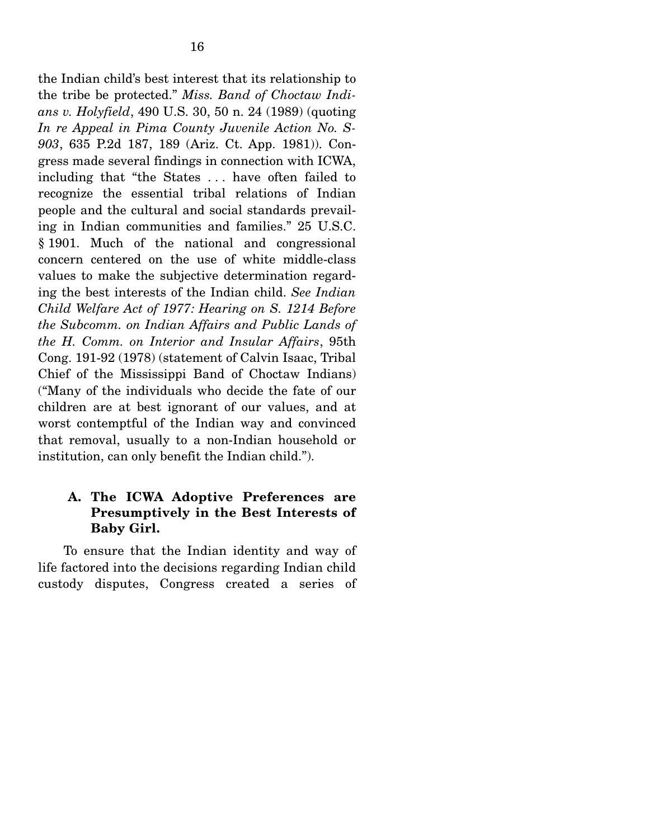the Indian child's best interest that its relationship to the tribe be protected." *Miss. Band of Choctaw Indians v. Holyfield*, 490 U.S. 30, 50 n. 24 (1989) (quoting *In re Appeal in Pima County Juvenile Action No. S-903*, 635 P.2d 187, 189 (Ariz. Ct. App. 1981)). Congress made several findings in connection with ICWA, including that "the States . . . have often failed to recognize the essential tribal relations of Indian people and the cultural and social standards prevailing in Indian communities and families." 25 U.S.C. § 1901. Much of the national and congressional concern centered on the use of white middle-class values to make the subjective determination regarding the best interests of the Indian child. *See Indian Child Welfare Act of 1977: Hearing on S. 1214 Before the Subcomm. on Indian Affairs and Public Lands of the H. Comm. on Interior and Insular Affairs*, 95th Cong. 191-92 (1978) (statement of Calvin Isaac, Tribal Chief of the Mississippi Band of Choctaw Indians) ("Many of the individuals who decide the fate of our children are at best ignorant of our values, and at worst contemptful of the Indian way and convinced that removal, usually to a non-Indian household or institution, can only benefit the Indian child.").

## **A. The ICWA Adoptive Preferences are Presumptively in the Best Interests of Baby Girl.**

 To ensure that the Indian identity and way of life factored into the decisions regarding Indian child custody disputes, Congress created a series of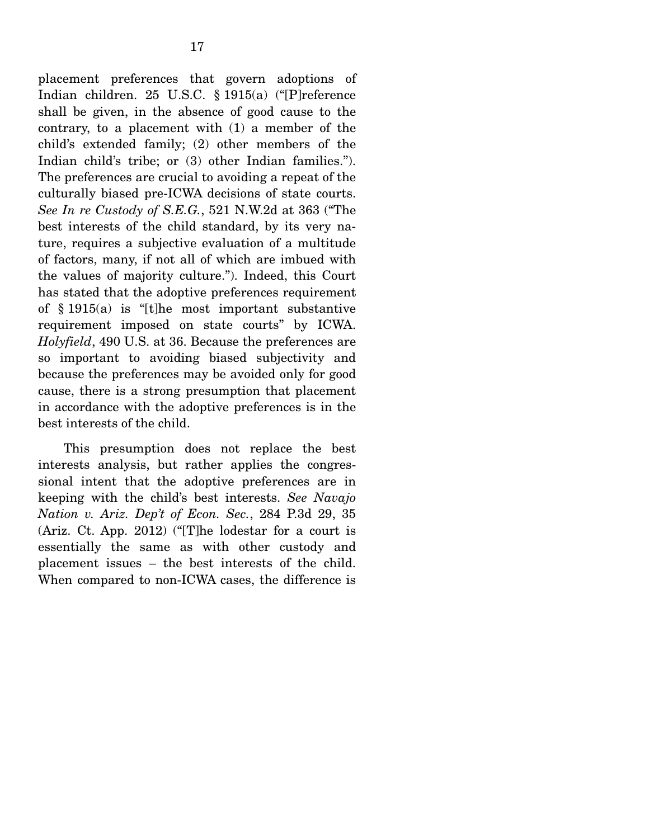placement preferences that govern adoptions of Indian children. 25 U.S.C. § 1915(a) ("[P]reference shall be given, in the absence of good cause to the contrary, to a placement with (1) a member of the child's extended family; (2) other members of the Indian child's tribe; or (3) other Indian families."). The preferences are crucial to avoiding a repeat of the culturally biased pre-ICWA decisions of state courts. *See In re Custody of S.E.G.*, 521 N.W.2d at 363 ("The best interests of the child standard, by its very nature, requires a subjective evaluation of a multitude of factors, many, if not all of which are imbued with the values of majority culture."). Indeed, this Court has stated that the adoptive preferences requirement of § 1915(a) is "[t]he most important substantive requirement imposed on state courts" by ICWA. *Holyfield*, 490 U.S. at 36. Because the preferences are so important to avoiding biased subjectivity and because the preferences may be avoided only for good cause, there is a strong presumption that placement in accordance with the adoptive preferences is in the best interests of the child.

 This presumption does not replace the best interests analysis, but rather applies the congressional intent that the adoptive preferences are in keeping with the child's best interests. *See Navajo Nation v. Ariz. Dep't of Econ. Sec.*, 284 P.3d 29, 35 (Ariz. Ct. App. 2012) ("[T]he lodestar for a court is essentially the same as with other custody and placement issues – the best interests of the child. When compared to non-ICWA cases, the difference is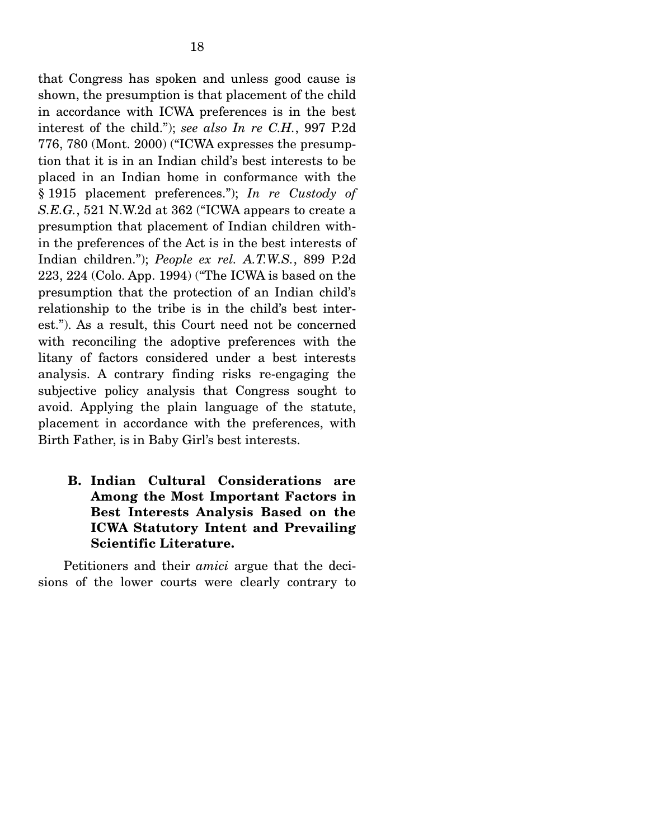that Congress has spoken and unless good cause is shown, the presumption is that placement of the child in accordance with ICWA preferences is in the best interest of the child."); *see also In re C.H.*, 997 P.2d 776, 780 (Mont. 2000) ("ICWA expresses the presumption that it is in an Indian child's best interests to be placed in an Indian home in conformance with the § 1915 placement preferences."); *In re Custody of S.E.G.*, 521 N.W.2d at 362 ("ICWA appears to create a presumption that placement of Indian children within the preferences of the Act is in the best interests of Indian children."); *People ex rel. A.T.W.S.*, 899 P.2d 223, 224 (Colo. App. 1994) ("The ICWA is based on the presumption that the protection of an Indian child's relationship to the tribe is in the child's best interest."). As a result, this Court need not be concerned with reconciling the adoptive preferences with the litany of factors considered under a best interests analysis. A contrary finding risks re-engaging the subjective policy analysis that Congress sought to avoid. Applying the plain language of the statute, placement in accordance with the preferences, with Birth Father, is in Baby Girl's best interests.

## **B. Indian Cultural Considerations are Among the Most Important Factors in Best Interests Analysis Based on the ICWA Statutory Intent and Prevailing Scientific Literature.**

 Petitioners and their *amici* argue that the decisions of the lower courts were clearly contrary to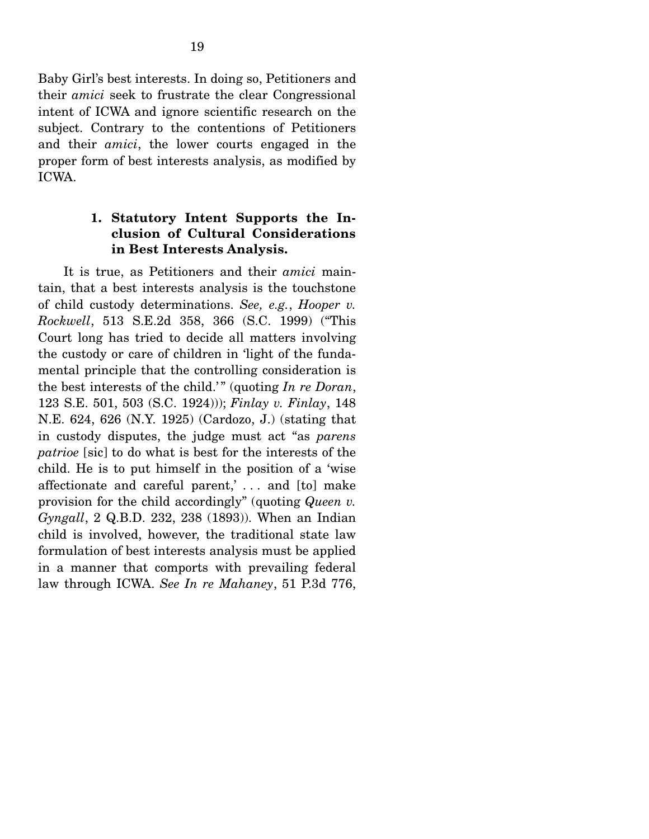Baby Girl's best interests. In doing so, Petitioners and their *amici* seek to frustrate the clear Congressional intent of ICWA and ignore scientific research on the subject. Contrary to the contentions of Petitioners and their *amici*, the lower courts engaged in the proper form of best interests analysis, as modified by ICWA.

### **1. Statutory Intent Supports the Inclusion of Cultural Considerations in Best Interests Analysis.**

 It is true, as Petitioners and their *amici* maintain, that a best interests analysis is the touchstone of child custody determinations. *See, e.g.*, *Hooper v. Rockwell*, 513 S.E.2d 358, 366 (S.C. 1999) ("This Court long has tried to decide all matters involving the custody or care of children in 'light of the fundamental principle that the controlling consideration is the best interests of the child.'" (quoting *In re Doran*, 123 S.E. 501, 503 (S.C. 1924))); *Finlay v. Finlay*, 148 N.E. 624, 626 (N.Y. 1925) (Cardozo, J.) (stating that in custody disputes, the judge must act "as *parens patrioe* [sic] to do what is best for the interests of the child. He is to put himself in the position of a 'wise affectionate and careful parent,' . . . and [to] make provision for the child accordingly" (quoting *Queen v. Gyngall*, 2 Q.B.D. 232, 238 (1893)). When an Indian child is involved, however, the traditional state law formulation of best interests analysis must be applied in a manner that comports with prevailing federal law through ICWA. *See In re Mahaney*, 51 P.3d 776,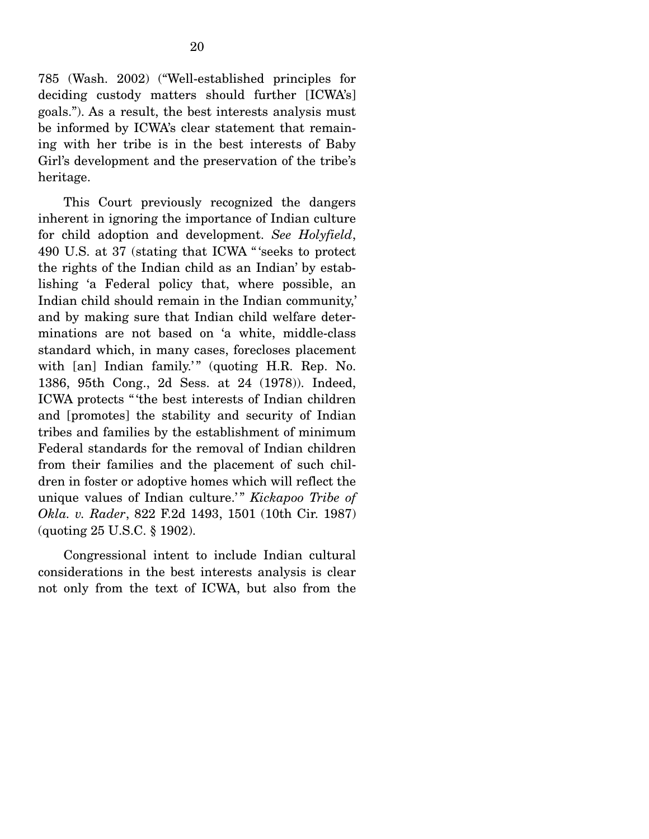785 (Wash. 2002) ("Well-established principles for deciding custody matters should further [ICWA's] goals."). As a result, the best interests analysis must be informed by ICWA's clear statement that remaining with her tribe is in the best interests of Baby Girl's development and the preservation of the tribe's heritage.

 This Court previously recognized the dangers inherent in ignoring the importance of Indian culture for child adoption and development. *See Holyfield*, 490 U.S. at 37 (stating that ICWA " 'seeks to protect the rights of the Indian child as an Indian' by establishing 'a Federal policy that, where possible, an Indian child should remain in the Indian community,' and by making sure that Indian child welfare determinations are not based on 'a white, middle-class standard which, in many cases, forecloses placement with [an] Indian family.'" (quoting H.R. Rep. No. 1386, 95th Cong., 2d Sess. at 24 (1978)). Indeed, ICWA protects " 'the best interests of Indian children and [promotes] the stability and security of Indian tribes and families by the establishment of minimum Federal standards for the removal of Indian children from their families and the placement of such children in foster or adoptive homes which will reflect the unique values of Indian culture.'" *Kickapoo Tribe of Okla. v. Rader*, 822 F.2d 1493, 1501 (10th Cir. 1987) (quoting 25 U.S.C. § 1902).

 Congressional intent to include Indian cultural considerations in the best interests analysis is clear not only from the text of ICWA, but also from the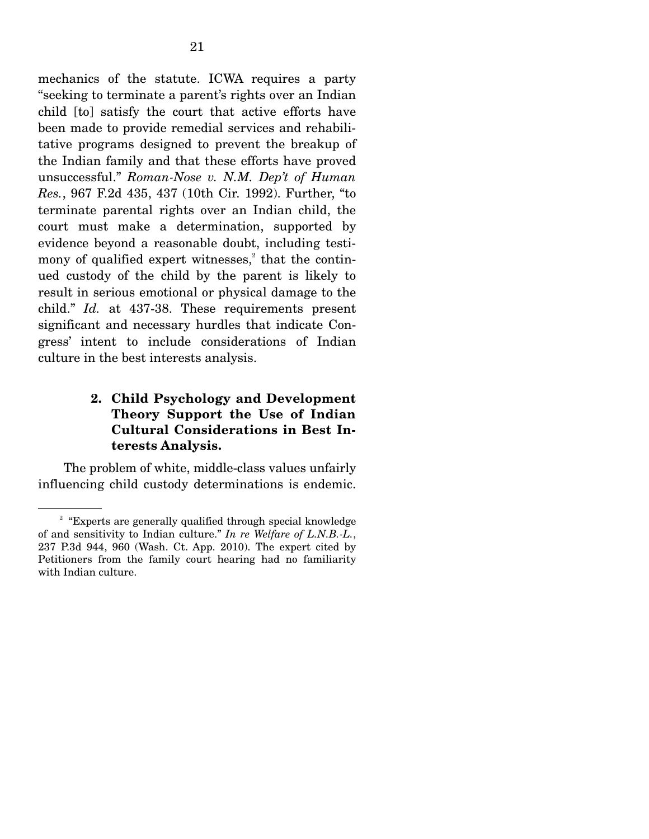mechanics of the statute. ICWA requires a party "seeking to terminate a parent's rights over an Indian child [to] satisfy the court that active efforts have been made to provide remedial services and rehabilitative programs designed to prevent the breakup of the Indian family and that these efforts have proved unsuccessful." *Roman-Nose v. N.M. Dep't of Human Res.*, 967 F.2d 435, 437 (10th Cir. 1992). Further, "to terminate parental rights over an Indian child, the court must make a determination, supported by evidence beyond a reasonable doubt, including testimony of qualified expert witnesses, $2$  that the continued custody of the child by the parent is likely to result in serious emotional or physical damage to the child." *Id.* at 437-38. These requirements present significant and necessary hurdles that indicate Congress' intent to include considerations of Indian culture in the best interests analysis.

## **2. Child Psychology and Development Theory Support the Use of Indian Cultural Considerations in Best Interests Analysis.**

 The problem of white, middle-class values unfairly influencing child custody determinations is endemic.

<sup>&</sup>lt;sup>2</sup> "Experts are generally qualified through special knowledge of and sensitivity to Indian culture." *In re Welfare of L.N.B.-L.*, 237 P.3d 944, 960 (Wash. Ct. App. 2010). The expert cited by Petitioners from the family court hearing had no familiarity with Indian culture.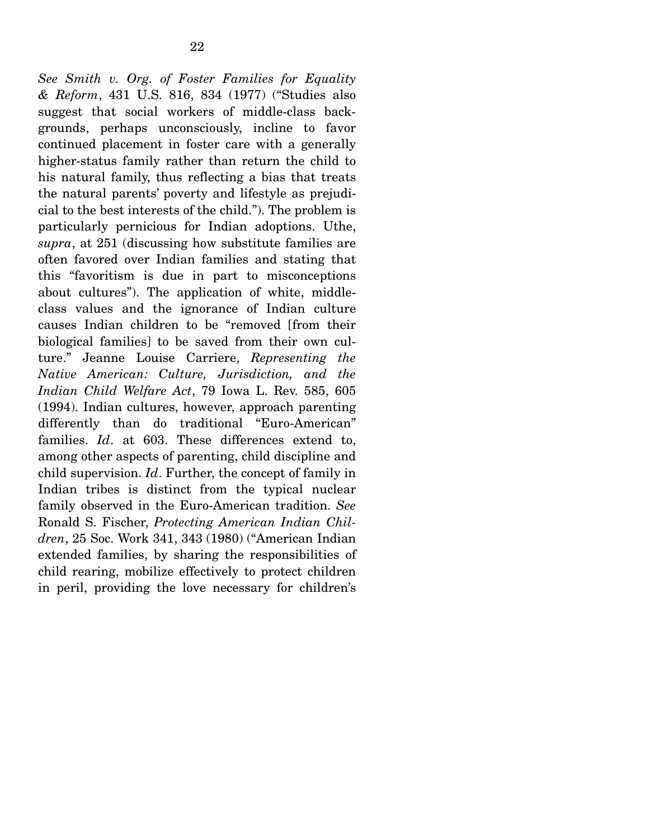*See Smith v. Org. of Foster Families for Equality & Reform*, 431 U.S. 816, 834 (1977) ("Studies also suggest that social workers of middle-class backgrounds, perhaps unconsciously, incline to favor continued placement in foster care with a generally higher-status family rather than return the child to his natural family, thus reflecting a bias that treats the natural parents' poverty and lifestyle as prejudicial to the best interests of the child."). The problem is particularly pernicious for Indian adoptions. Uthe, *supra*, at 251 (discussing how substitute families are often favored over Indian families and stating that this "favoritism is due in part to misconceptions about cultures"). The application of white, middleclass values and the ignorance of Indian culture causes Indian children to be "removed [from their biological families] to be saved from their own culture." Jeanne Louise Carriere, *Representing the Native American: Culture, Jurisdiction, and the Indian Child Welfare Act*, 79 Iowa L. Rev. 585, 605 (1994). Indian cultures, however, approach parenting differently than do traditional "Euro-American" families. *Id*. at 603. These differences extend to, among other aspects of parenting, child discipline and child supervision. *Id*. Further, the concept of family in Indian tribes is distinct from the typical nuclear family observed in the Euro-American tradition. *See*  Ronald S. Fischer, *Protecting American Indian Children*, 25 Soc. Work 341, 343 (1980) ("American Indian extended families, by sharing the responsibilities of child rearing, mobilize effectively to protect children in peril, providing the love necessary for children's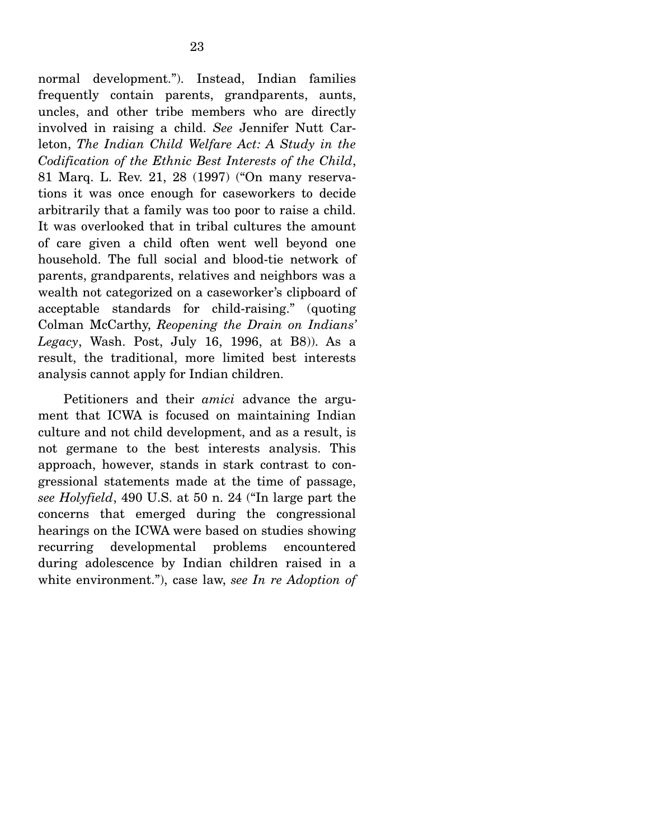normal development."). Instead, Indian families frequently contain parents, grandparents, aunts, uncles, and other tribe members who are directly involved in raising a child. *See* Jennifer Nutt Carleton, *The Indian Child Welfare Act: A Study in the Codification of the Ethnic Best Interests of the Child*, 81 Marq. L. Rev. 21, 28 (1997) ("On many reservations it was once enough for caseworkers to decide arbitrarily that a family was too poor to raise a child. It was overlooked that in tribal cultures the amount of care given a child often went well beyond one household. The full social and blood-tie network of parents, grandparents, relatives and neighbors was a wealth not categorized on a caseworker's clipboard of acceptable standards for child-raising." (quoting Colman McCarthy, *Reopening the Drain on Indians' Legacy*, Wash. Post, July 16, 1996, at B8)). As a result, the traditional, more limited best interests analysis cannot apply for Indian children.

 Petitioners and their *amici* advance the argument that ICWA is focused on maintaining Indian culture and not child development, and as a result, is not germane to the best interests analysis. This approach, however, stands in stark contrast to congressional statements made at the time of passage, *see Holyfield*, 490 U.S. at 50 n. 24 ("In large part the concerns that emerged during the congressional hearings on the ICWA were based on studies showing recurring developmental problems encountered during adolescence by Indian children raised in a white environment."), case law, *see In re Adoption of*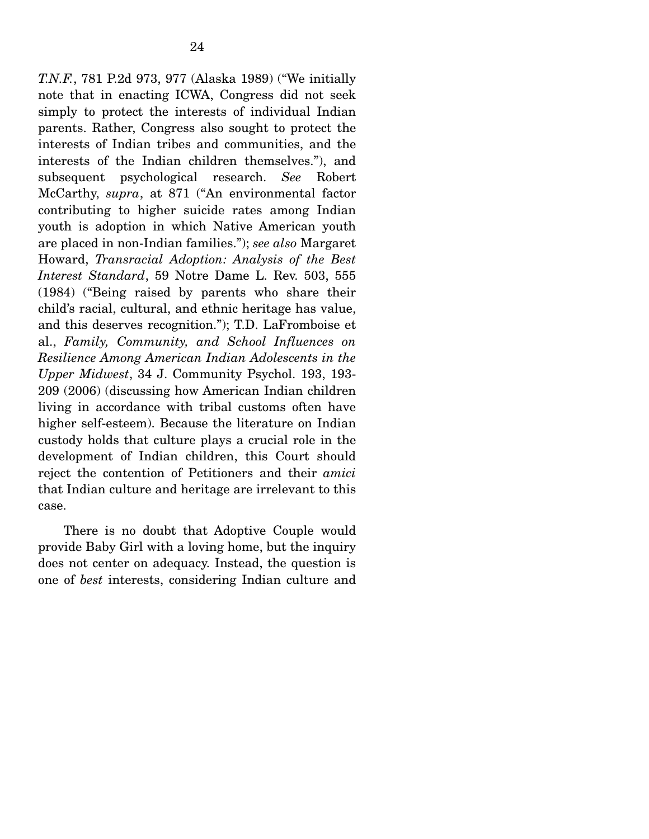*T.N.F.*, 781 P.2d 973, 977 (Alaska 1989) ("We initially note that in enacting ICWA, Congress did not seek simply to protect the interests of individual Indian parents. Rather, Congress also sought to protect the interests of Indian tribes and communities, and the interests of the Indian children themselves."), and subsequent psychological research. *See* Robert McCarthy, *supra*, at 871 ("An environmental factor contributing to higher suicide rates among Indian youth is adoption in which Native American youth are placed in non-Indian families."); *see also* Margaret Howard, *Transracial Adoption: Analysis of the Best Interest Standard*, 59 Notre Dame L. Rev. 503, 555 (1984) ("Being raised by parents who share their child's racial, cultural, and ethnic heritage has value, and this deserves recognition."); T.D. LaFromboise et al., *Family, Community, and School Influences on Resilience Among American Indian Adolescents in the Upper Midwest*, 34 J. Community Psychol. 193, 193- 209 (2006) (discussing how American Indian children living in accordance with tribal customs often have higher self-esteem). Because the literature on Indian custody holds that culture plays a crucial role in the development of Indian children, this Court should reject the contention of Petitioners and their *amici* that Indian culture and heritage are irrelevant to this case.

 There is no doubt that Adoptive Couple would provide Baby Girl with a loving home, but the inquiry does not center on adequacy. Instead, the question is one of *best* interests, considering Indian culture and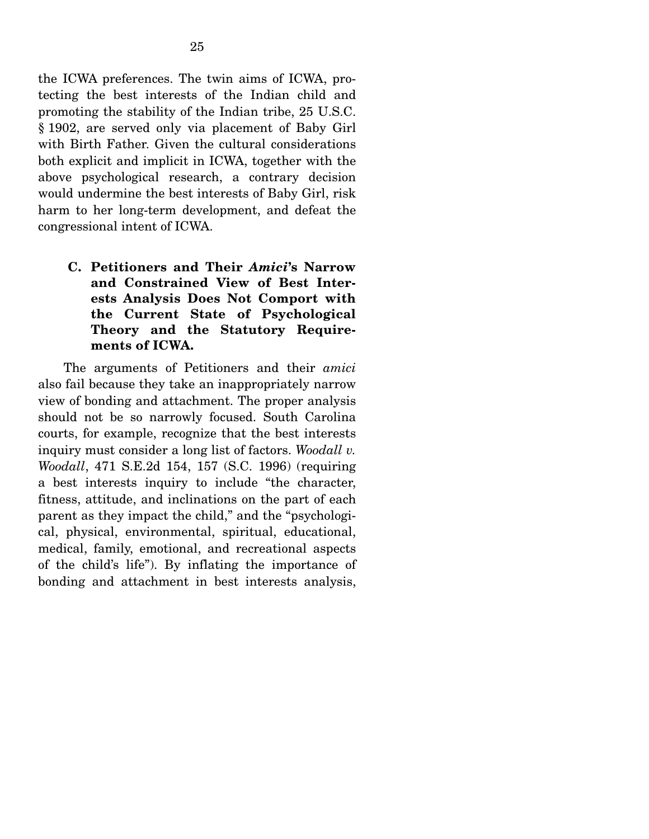the ICWA preferences. The twin aims of ICWA, protecting the best interests of the Indian child and promoting the stability of the Indian tribe, 25 U.S.C. § 1902, are served only via placement of Baby Girl with Birth Father. Given the cultural considerations both explicit and implicit in ICWA, together with the above psychological research, a contrary decision would undermine the best interests of Baby Girl, risk harm to her long-term development, and defeat the congressional intent of ICWA.

**C. Petitioners and Their** *Amici***'s Narrow and Constrained View of Best Interests Analysis Does Not Comport with the Current State of Psychological Theory and the Statutory Requirements of ICWA.** 

 The arguments of Petitioners and their *amici* also fail because they take an inappropriately narrow view of bonding and attachment. The proper analysis should not be so narrowly focused. South Carolina courts, for example, recognize that the best interests inquiry must consider a long list of factors. *Woodall v. Woodall*, 471 S.E.2d 154, 157 (S.C. 1996) (requiring a best interests inquiry to include "the character, fitness, attitude, and inclinations on the part of each parent as they impact the child," and the "psychological, physical, environmental, spiritual, educational, medical, family, emotional, and recreational aspects of the child's life"). By inflating the importance of bonding and attachment in best interests analysis,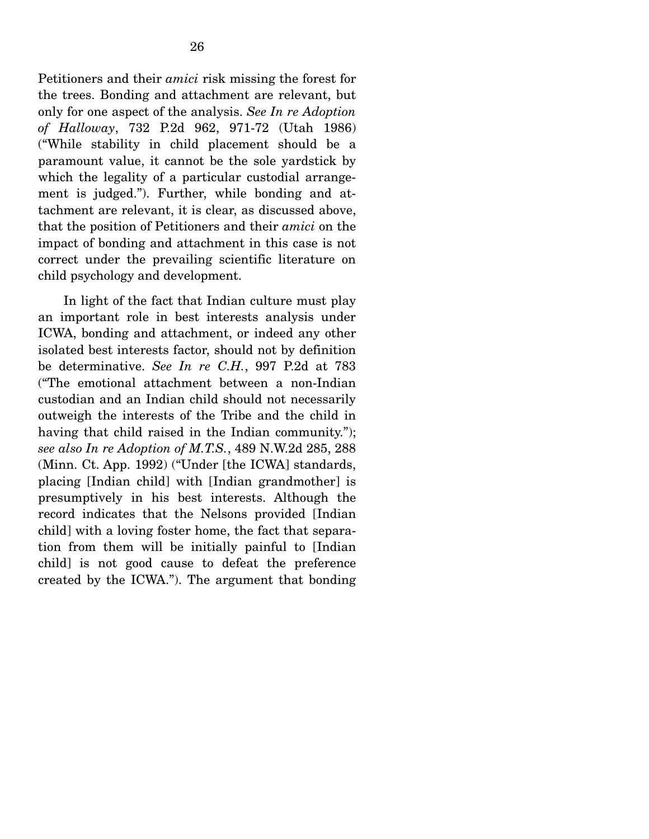Petitioners and their *amici* risk missing the forest for the trees. Bonding and attachment are relevant, but only for one aspect of the analysis. *See In re Adoption of Halloway*, 732 P.2d 962, 971-72 (Utah 1986) ("While stability in child placement should be a paramount value, it cannot be the sole yardstick by which the legality of a particular custodial arrangement is judged."). Further, while bonding and attachment are relevant, it is clear, as discussed above, that the position of Petitioners and their *amici* on the impact of bonding and attachment in this case is not correct under the prevailing scientific literature on child psychology and development.

 In light of the fact that Indian culture must play an important role in best interests analysis under ICWA, bonding and attachment, or indeed any other isolated best interests factor, should not by definition be determinative. *See In re C.H.*, 997 P.2d at 783 ("The emotional attachment between a non-Indian custodian and an Indian child should not necessarily outweigh the interests of the Tribe and the child in having that child raised in the Indian community."); *see also In re Adoption of M.T.S.*, 489 N.W.2d 285, 288 (Minn. Ct. App. 1992) ("Under [the ICWA] standards, placing [Indian child] with [Indian grandmother] is presumptively in his best interests. Although the record indicates that the Nelsons provided [Indian child] with a loving foster home, the fact that separation from them will be initially painful to [Indian child] is not good cause to defeat the preference created by the ICWA."). The argument that bonding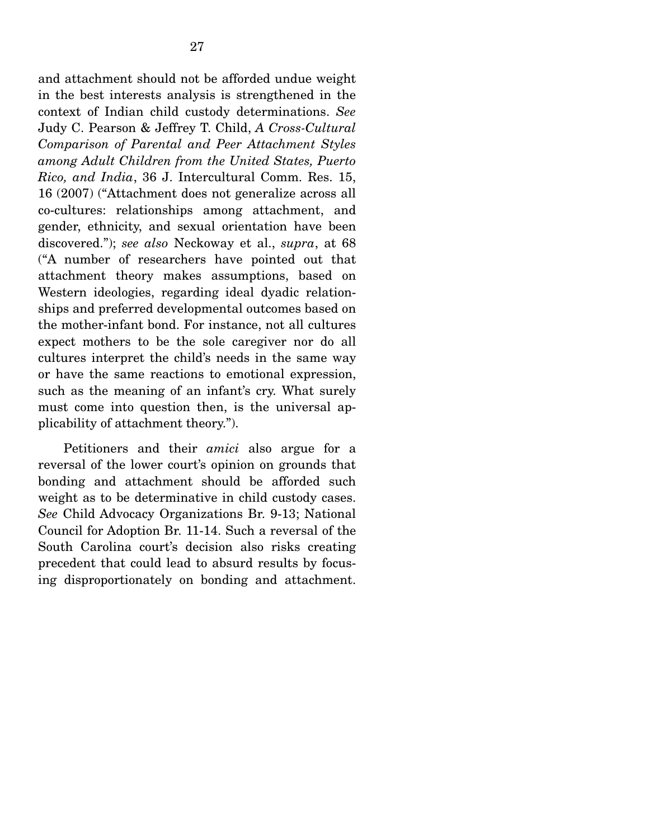and attachment should not be afforded undue weight in the best interests analysis is strengthened in the context of Indian child custody determinations. *See*  Judy C. Pearson & Jeffrey T. Child, *A Cross-Cultural Comparison of Parental and Peer Attachment Styles among Adult Children from the United States, Puerto Rico, and India*, 36 J. Intercultural Comm. Res. 15, 16 (2007) ("Attachment does not generalize across all co-cultures: relationships among attachment, and gender, ethnicity, and sexual orientation have been discovered."); *see also* Neckoway et al., *supra*, at 68 ("A number of researchers have pointed out that attachment theory makes assumptions, based on Western ideologies, regarding ideal dyadic relationships and preferred developmental outcomes based on the mother-infant bond. For instance, not all cultures expect mothers to be the sole caregiver nor do all cultures interpret the child's needs in the same way or have the same reactions to emotional expression, such as the meaning of an infant's cry. What surely must come into question then, is the universal applicability of attachment theory.").

 Petitioners and their *amici* also argue for a reversal of the lower court's opinion on grounds that bonding and attachment should be afforded such weight as to be determinative in child custody cases. *See* Child Advocacy Organizations Br. 9-13; National Council for Adoption Br. 11-14. Such a reversal of the South Carolina court's decision also risks creating precedent that could lead to absurd results by focusing disproportionately on bonding and attachment.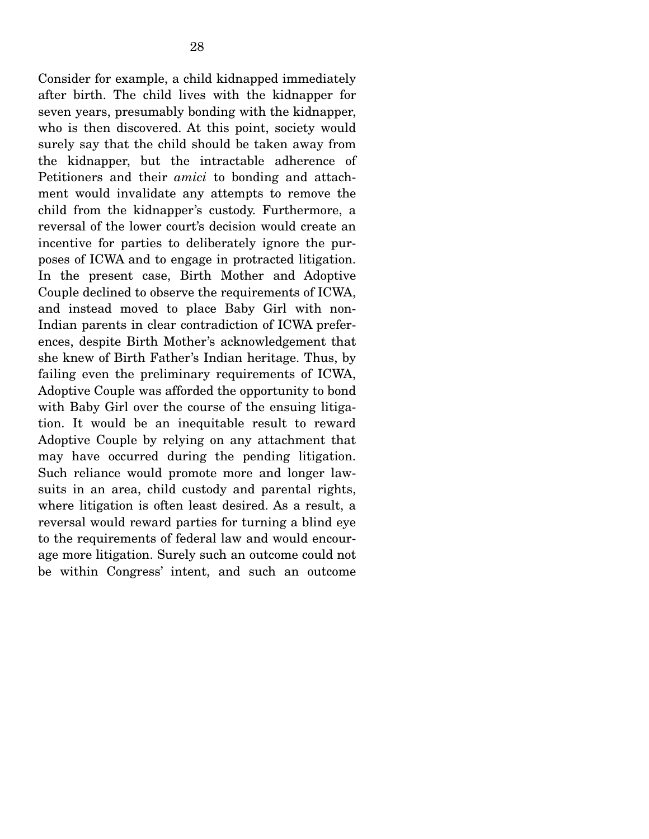Consider for example, a child kidnapped immediately after birth. The child lives with the kidnapper for seven years, presumably bonding with the kidnapper, who is then discovered. At this point, society would surely say that the child should be taken away from the kidnapper, but the intractable adherence of Petitioners and their *amici* to bonding and attachment would invalidate any attempts to remove the child from the kidnapper's custody. Furthermore, a reversal of the lower court's decision would create an incentive for parties to deliberately ignore the purposes of ICWA and to engage in protracted litigation. In the present case, Birth Mother and Adoptive Couple declined to observe the requirements of ICWA, and instead moved to place Baby Girl with non-Indian parents in clear contradiction of ICWA preferences, despite Birth Mother's acknowledgement that she knew of Birth Father's Indian heritage. Thus, by failing even the preliminary requirements of ICWA, Adoptive Couple was afforded the opportunity to bond with Baby Girl over the course of the ensuing litigation. It would be an inequitable result to reward Adoptive Couple by relying on any attachment that may have occurred during the pending litigation. Such reliance would promote more and longer lawsuits in an area, child custody and parental rights, where litigation is often least desired. As a result, a reversal would reward parties for turning a blind eye to the requirements of federal law and would encourage more litigation. Surely such an outcome could not be within Congress' intent, and such an outcome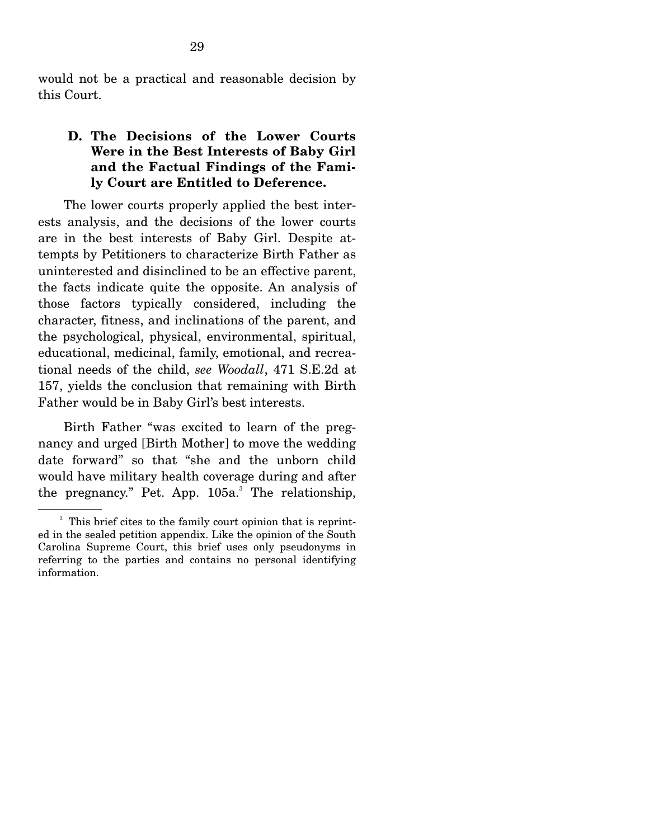would not be a practical and reasonable decision by this Court.

## **D. The Decisions of the Lower Courts Were in the Best Interests of Baby Girl and the Factual Findings of the Family Court are Entitled to Deference.**

 The lower courts properly applied the best interests analysis, and the decisions of the lower courts are in the best interests of Baby Girl. Despite attempts by Petitioners to characterize Birth Father as uninterested and disinclined to be an effective parent, the facts indicate quite the opposite. An analysis of those factors typically considered, including the character, fitness, and inclinations of the parent, and the psychological, physical, environmental, spiritual, educational, medicinal, family, emotional, and recreational needs of the child, *see Woodall*, 471 S.E.2d at 157, yields the conclusion that remaining with Birth Father would be in Baby Girl's best interests.

 Birth Father "was excited to learn of the pregnancy and urged [Birth Mother] to move the wedding date forward" so that "she and the unborn child would have military health coverage during and after the pregnancy." Pet. App.  $105a$ . The relationship,

<sup>&</sup>lt;sup>3</sup> This brief cites to the family court opinion that is reprinted in the sealed petition appendix. Like the opinion of the South Carolina Supreme Court, this brief uses only pseudonyms in referring to the parties and contains no personal identifying information.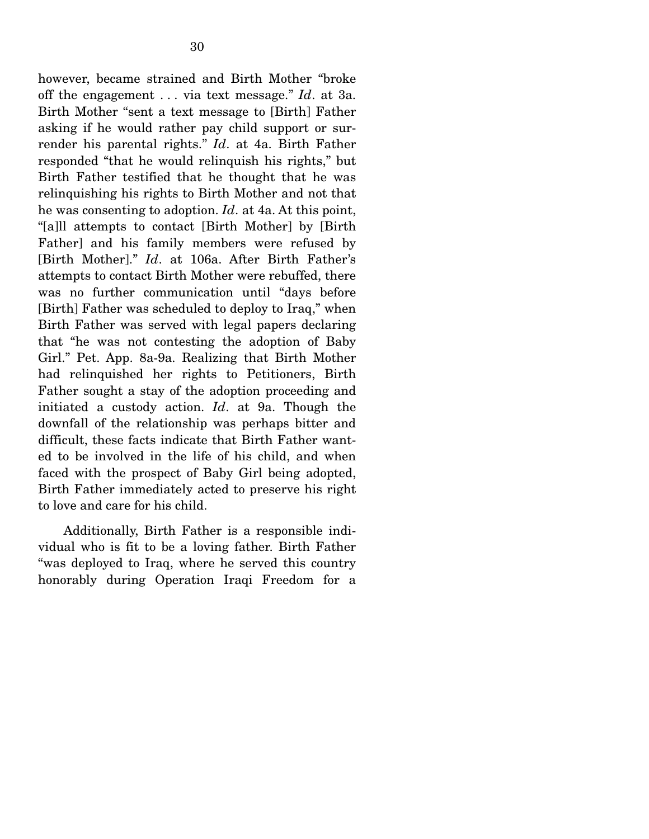however, became strained and Birth Mother "broke off the engagement . . . via text message." *Id*. at 3a. Birth Mother "sent a text message to [Birth] Father asking if he would rather pay child support or surrender his parental rights." *Id*. at 4a. Birth Father responded "that he would relinquish his rights," but Birth Father testified that he thought that he was relinquishing his rights to Birth Mother and not that he was consenting to adoption. *Id*. at 4a. At this point, "[a]ll attempts to contact [Birth Mother] by [Birth Father] and his family members were refused by [Birth Mother]." *Id*. at 106a. After Birth Father's attempts to contact Birth Mother were rebuffed, there was no further communication until "days before [Birth] Father was scheduled to deploy to Iraq," when Birth Father was served with legal papers declaring that "he was not contesting the adoption of Baby Girl." Pet. App. 8a-9a. Realizing that Birth Mother had relinquished her rights to Petitioners, Birth Father sought a stay of the adoption proceeding and initiated a custody action. *Id*. at 9a. Though the downfall of the relationship was perhaps bitter and difficult, these facts indicate that Birth Father wanted to be involved in the life of his child, and when faced with the prospect of Baby Girl being adopted, Birth Father immediately acted to preserve his right to love and care for his child.

 Additionally, Birth Father is a responsible individual who is fit to be a loving father. Birth Father "was deployed to Iraq, where he served this country honorably during Operation Iraqi Freedom for a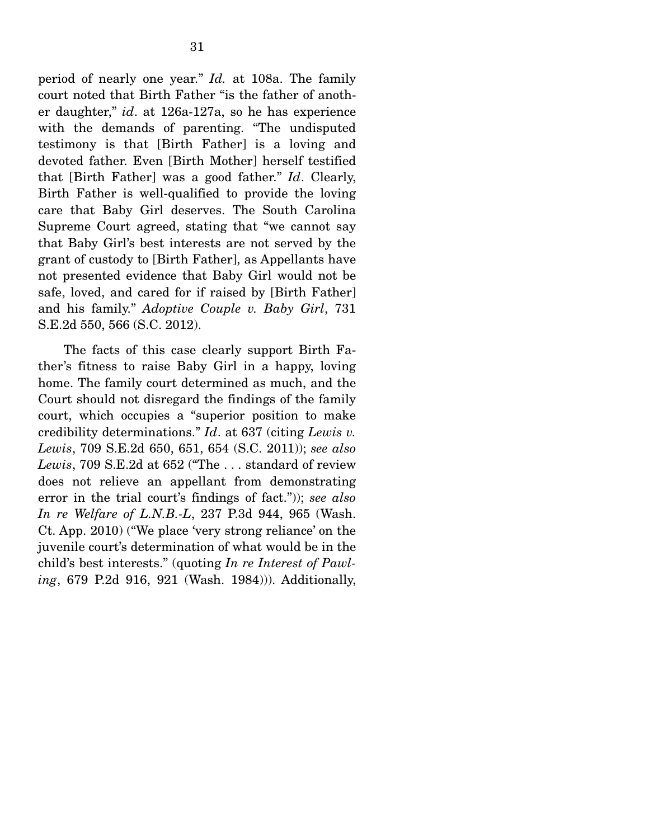period of nearly one year." *Id.* at 108a. The family court noted that Birth Father "is the father of another daughter," *id*. at 126a-127a, so he has experience with the demands of parenting. "The undisputed testimony is that [Birth Father] is a loving and devoted father. Even [Birth Mother] herself testified that [Birth Father] was a good father." *Id*. Clearly, Birth Father is well-qualified to provide the loving care that Baby Girl deserves. The South Carolina Supreme Court agreed, stating that "we cannot say that Baby Girl's best interests are not served by the grant of custody to [Birth Father], as Appellants have not presented evidence that Baby Girl would not be safe, loved, and cared for if raised by [Birth Father] and his family." *Adoptive Couple v. Baby Girl*, 731 S.E.2d 550, 566 (S.C. 2012).

 The facts of this case clearly support Birth Father's fitness to raise Baby Girl in a happy, loving home. The family court determined as much, and the Court should not disregard the findings of the family court, which occupies a "superior position to make credibility determinations." *Id*. at 637 (citing *Lewis v. Lewis*, 709 S.E.2d 650, 651, 654 (S.C. 2011)); *see also Lewis*, 709 S.E.2d at 652 ("The . . . standard of review does not relieve an appellant from demonstrating error in the trial court's findings of fact.")); *see also In re Welfare of L.N.B.-L*, 237 P.3d 944, 965 (Wash. Ct. App. 2010) ("We place 'very strong reliance' on the juvenile court's determination of what would be in the child's best interests." (quoting *In re Interest of Pawling*, 679 P.2d 916, 921 (Wash. 1984))). Additionally,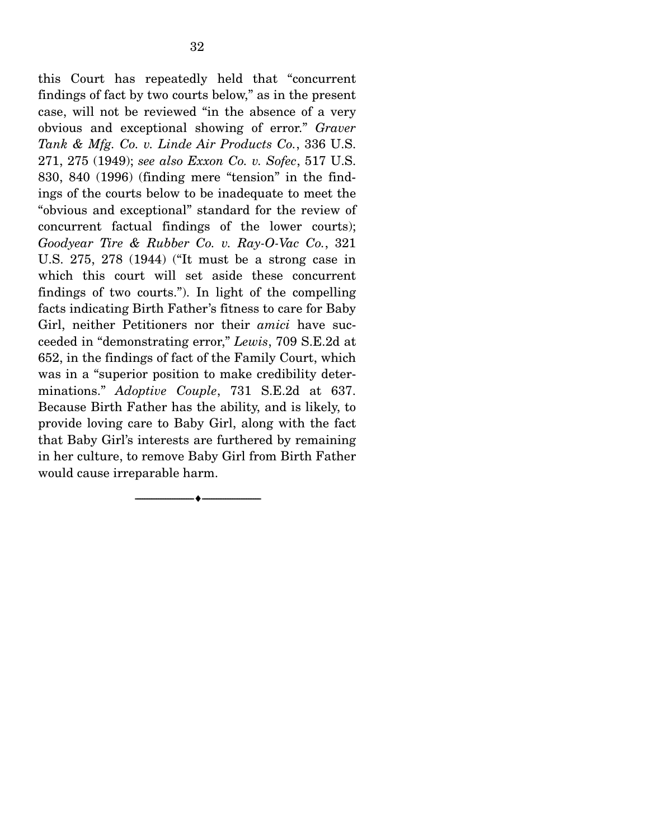this Court has repeatedly held that "concurrent findings of fact by two courts below," as in the present case, will not be reviewed "in the absence of a very obvious and exceptional showing of error." *Graver Tank & Mfg. Co. v. Linde Air Products Co.*, 336 U.S. 271, 275 (1949); *see also Exxon Co. v. Sofec*, 517 U.S. 830, 840 (1996) (finding mere "tension" in the findings of the courts below to be inadequate to meet the "obvious and exceptional" standard for the review of concurrent factual findings of the lower courts); *Goodyear Tire & Rubber Co. v. Ray-O-Vac Co.*, 321 U.S. 275, 278 (1944) ("It must be a strong case in which this court will set aside these concurrent findings of two courts."). In light of the compelling facts indicating Birth Father's fitness to care for Baby Girl, neither Petitioners nor their *amici* have succeeded in "demonstrating error," *Lewis*, 709 S.E.2d at 652, in the findings of fact of the Family Court, which was in a "superior position to make credibility determinations." *Adoptive Couple*, 731 S.E.2d at 637. Because Birth Father has the ability, and is likely, to provide loving care to Baby Girl, along with the fact that Baby Girl's interests are furthered by remaining in her culture, to remove Baby Girl from Birth Father would cause irreparable harm.

--------------------------------- ---------------------------------